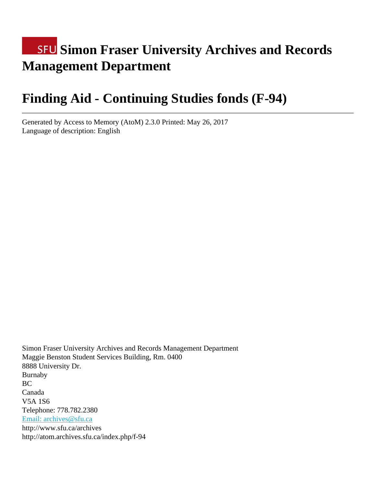# **SFU Simon Fraser University Archives and Records Management Department**

# **Finding Aid - Continuing Studies fonds (F-94)**

Generated by Access to Memory (AtoM) 2.3.0 Printed: May 26, 2017 Language of description: English

Simon Fraser University Archives and Records Management Department Maggie Benston Student Services Building, Rm. 0400 8888 University Dr. Burnaby BC Canada V5A 1S6 Telephone: 778.782.2380 [Email: archives@sfu.ca](mailto:Email: archives@sfu.ca) http://www.sfu.ca/archives http://atom.archives.sfu.ca/index.php/f-94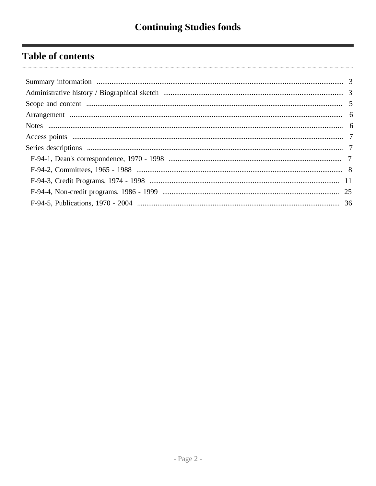# **Table of contents**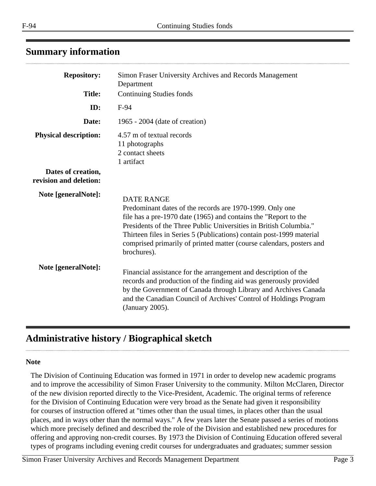# <span id="page-2-0"></span>**Summary information**

| <b>Repository:</b>                           | Simon Fraser University Archives and Records Management<br>Department                                                                                                                                                                                                                                                                                                                |
|----------------------------------------------|--------------------------------------------------------------------------------------------------------------------------------------------------------------------------------------------------------------------------------------------------------------------------------------------------------------------------------------------------------------------------------------|
| <b>Title:</b>                                | <b>Continuing Studies fonds</b>                                                                                                                                                                                                                                                                                                                                                      |
| ID:                                          | F-94                                                                                                                                                                                                                                                                                                                                                                                 |
| Date:                                        | 1965 - 2004 (date of creation)                                                                                                                                                                                                                                                                                                                                                       |
| <b>Physical description:</b>                 | 4.57 m of textual records<br>11 photographs<br>2 contact sheets<br>1 artifact                                                                                                                                                                                                                                                                                                        |
| Dates of creation,<br>revision and deletion: |                                                                                                                                                                                                                                                                                                                                                                                      |
| Note [generalNote]:                          | <b>DATE RANGE</b><br>Predominant dates of the records are 1970-1999. Only one<br>file has a pre-1970 date (1965) and contains the "Report to the<br>Presidents of the Three Public Universities in British Columbia."<br>Thirteen files in Series 5 (Publications) contain post-1999 material<br>comprised primarily of printed matter (course calendars, posters and<br>brochures). |
| Note [generalNote]:                          | Financial assistance for the arrangement and description of the<br>records and production of the finding aid was generously provided<br>by the Government of Canada through Library and Archives Canada<br>and the Canadian Council of Archives' Control of Holdings Program<br>(January 2005).                                                                                      |

# <span id="page-2-1"></span>**Administrative history / Biographical sketch**

#### **Note**

The Division of Continuing Education was formed in 1971 in order to develop new academic programs and to improve the accessibility of Simon Fraser University to the community. Milton McClaren, Director of the new division reported directly to the Vice-President, Academic. The original terms of reference for the Division of Continuing Education were very broad as the Senate had given it responsibility for courses of instruction offered at "times other than the usual times, in places other than the usual places, and in ways other than the normal ways." A few years later the Senate passed a series of motions which more precisely defined and described the role of the Division and established new procedures for offering and approving non-credit courses. By 1973 the Division of Continuing Education offered several types of programs including evening credit courses for undergraduates and graduates; summer session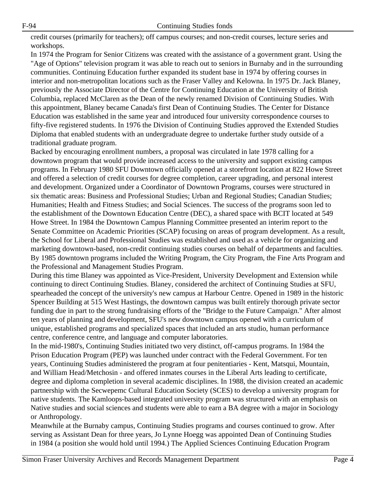credit courses (primarily for teachers); off campus courses; and non-credit courses, lecture series and workshops.

In 1974 the Program for Senior Citizens was created with the assistance of a government grant. Using the "Age of Options" television program it was able to reach out to seniors in Burnaby and in the surrounding communities. Continuing Education further expanded its student base in 1974 by offering courses in interior and non-metropolitan locations such as the Fraser Valley and Kelowna. In 1975 Dr. Jack Blaney, previously the Associate Director of the Centre for Continuing Education at the University of British Columbia, replaced McClaren as the Dean of the newly renamed Division of Continuing Studies. With this appointment, Blaney became Canada's first Dean of Continuing Studies. The Center for Distance Education was established in the same year and introduced four university correspondence courses to fifty-five registered students. In 1976 the Division of Continuing Studies approved the Extended Studies Diploma that enabled students with an undergraduate degree to undertake further study outside of a traditional graduate program.

Backed by encouraging enrollment numbers, a proposal was circulated in late 1978 calling for a downtown program that would provide increased access to the university and support existing campus programs. In February 1980 SFU Downtown officially opened at a storefront location at 822 Howe Street and offered a selection of credit courses for degree completion, career upgrading, and personal interest and development. Organized under a Coordinator of Downtown Programs, courses were structured in six thematic areas: Business and Professional Studies; Urban and Regional Studies; Canadian Studies; Humanities; Health and Fitness Studies; and Social Sciences. The success of the programs soon led to the establishment of the Downtown Education Centre (DEC), a shared space with BCIT located at 549 Howe Street. In 1984 the Downtown Campus Planning Committee presented an interim report to the Senate Committee on Academic Priorities (SCAP) focusing on areas of program development. As a result, the School for Liberal and Professional Studies was established and used as a vehicle for organizing and marketing downtown-based, non-credit continuing studies courses on behalf of departments and faculties. By 1985 downtown programs included the Writing Program, the City Program, the Fine Arts Program and the Professional and Management Studies Program.

During this time Blaney was appointed as Vice-President, University Development and Extension while continuing to direct Continuing Studies. Blaney, considered the architect of Continuing Studies at SFU, spearheaded the concept of the university's new campus at Harbour Centre. Opened in 1989 in the historic Spencer Building at 515 West Hastings, the downtown campus was built entirely thorough private sector funding due in part to the strong fundraising efforts of the "Bridge to the Future Campaign." After almost ten years of planning and development, SFU's new downtown campus opened with a curriculum of unique, established programs and specialized spaces that included an arts studio, human performance centre, conference centre, and language and computer laboratories.

In the mid-1980's, Continuing Studies initiated two very distinct, off-campus programs. In 1984 the Prison Education Program (PEP) was launched under contract with the Federal Government. For ten years, Continuing Studies administered the program at four penitentiaries - Kent, Matsqui, Mountain, and William Head/Metchosin - and offered inmates courses in the Liberal Arts leading to certificate, degree and diploma completion in several academic disciplines. In 1988, the division created an academic partnership with the Secwepemc Cultural Education Society (SCES) to develop a university program for native students. The Kamloops-based integrated university program was structured with an emphasis on Native studies and social sciences and students were able to earn a BA degree with a major in Sociology or Anthropology.

Meanwhile at the Burnaby campus, Continuing Studies programs and courses continued to grow. After serving as Assistant Dean for three years, Jo Lynne Hoegg was appointed Dean of Continuing Studies in 1984 (a position she would hold until 1994.) The Applied Sciences Continuing Education Program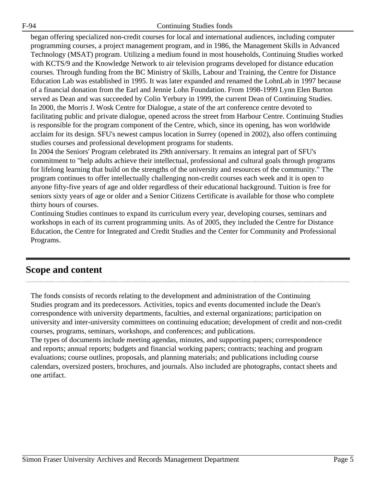began offering specialized non-credit courses for local and international audiences, including computer programming courses, a project management program, and in 1986, the Management Skills in Advanced Technology (MSAT) program. Utilizing a medium found in most households, Continuing Studies worked with KCTS/9 and the Knowledge Network to air television programs developed for distance education courses. Through funding from the BC Ministry of Skills, Labour and Training, the Centre for Distance Education Lab was established in 1995. It was later expanded and renamed the LohnLab in 1997 because of a financial donation from the Earl and Jennie Lohn Foundation. From 1998-1999 Lynn Elen Burton served as Dean and was succeeded by Colin Yerbury in 1999, the current Dean of Continuing Studies. In 2000, the Morris J. Wosk Centre for Dialogue, a state of the art conference centre devoted to facilitating public and private dialogue, opened across the street from Harbour Centre. Continuing Studies is responsible for the program component of the Centre, which, since its opening, has won worldwide acclaim for its design. SFU's newest campus location in Surrey (opened in 2002), also offers continuing studies courses and professional development programs for students.

In 2004 the Seniors' Program celebrated its 29th anniversary. It remains an integral part of SFU's commitment to "help adults achieve their intellectual, professional and cultural goals through programs for lifelong learning that build on the strengths of the university and resources of the community." The program continues to offer intellectually challenging non-credit courses each week and it is open to anyone fifty-five years of age and older regardless of their educational background. Tuition is free for seniors sixty years of age or older and a Senior Citizens Certificate is available for those who complete thirty hours of courses.

Continuing Studies continues to expand its curriculum every year, developing courses, seminars and workshops in each of its current programming units. As of 2005, they included the Centre for Distance Education, the Centre for Integrated and Credit Studies and the Center for Community and Professional Programs.

# <span id="page-4-0"></span>**Scope and content**

The fonds consists of records relating to the development and administration of the Continuing Studies program and its predecessors. Activities, topics and events documented include the Dean's correspondence with university departments, faculties, and external organizations; participation on university and inter-university committees on continuing education; development of credit and non-credit courses, programs, seminars, workshops, and conferences; and publications.

The types of documents include meeting agendas, minutes, and supporting papers; correspondence and reports; annual reports; budgets and financial working papers; contracts; teaching and program evaluations; course outlines, proposals, and planning materials; and publications including course calendars, oversized posters, brochures, and journals. Also included are photographs, contact sheets and one artifact.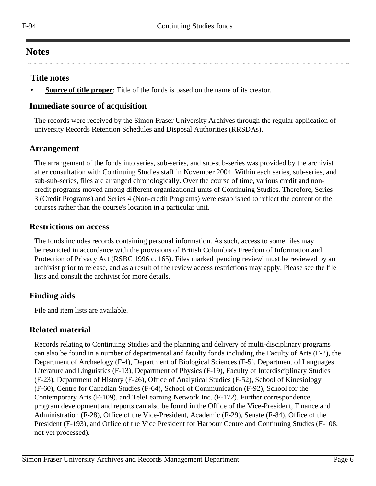# <span id="page-5-1"></span>**Notes**

### **Title notes**

**Source of title proper**: Title of the fonds is based on the name of its creator.

# **Immediate source of acquisition**

The records were received by the Simon Fraser University Archives through the regular application of university Records Retention Schedules and Disposal Authorities (RRSDAs).

# <span id="page-5-0"></span>**Arrangement**

The arrangement of the fonds into series, sub-series, and sub-sub-series was provided by the archivist after consultation with Continuing Studies staff in November 2004. Within each series, sub-series, and sub-sub-series, files are arranged chronologically. Over the course of time, various credit and noncredit programs moved among different organizational units of Continuing Studies. Therefore, Series 3 (Credit Programs) and Series 4 (Non-credit Programs) were established to reflect the content of the courses rather than the course's location in a particular unit.

#### **Restrictions on access**

The fonds includes records containing personal information. As such, access to some files may be restricted in accordance with the provisions of British Columbia's Freedom of Information and Protection of Privacy Act (RSBC 1996 c. 165). Files marked 'pending review' must be reviewed by an archivist prior to release, and as a result of the review access restrictions may apply. Please see the file lists and consult the archivist for more details.

# **Finding aids**

File and item lists are available.

# **Related material**

Records relating to Continuing Studies and the planning and delivery of multi-disciplinary programs can also be found in a number of departmental and faculty fonds including the Faculty of Arts (F-2), the Department of Archaelogy (F-4), Department of Biological Sciences (F-5), Department of Languages, Literature and Linguistics (F-13), Department of Physics (F-19), Faculty of Interdisciplinary Studies (F-23), Department of History (F-26), Office of Analytical Studies (F-52), School of Kinesiology (F-60), Centre for Canadian Studies (F-64), School of Communication (F-92), School for the Contemporary Arts (F-109), and TeleLearning Network Inc. (F-172). Further correspondence, program development and reports can also be found in the Office of the Vice-President, Finance and Administration (F-28), Office of the Vice-President, Academic (F-29), Senate (F-84), Office of the President (F-193), and Office of the Vice President for Harbour Centre and Continuing Studies (F-108, not yet processed).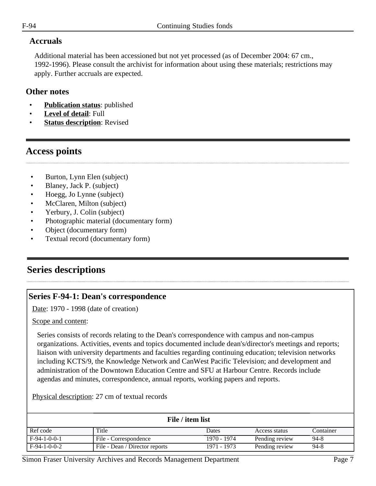#### **Accruals**

Additional material has been accessioned but not yet processed (as of December 2004: 67 cm., 1992-1996). Please consult the archivist for information about using these materials; restrictions may apply. Further accruals are expected.

#### **Other notes**

- **Publication status:** published
- **Level of detail**: Full
- **Status description: Revised**

# <span id="page-6-0"></span>**Access points**

- Burton, Lynn Elen (subject)
- Blaney, Jack P. (subject)
- Hoegg, Jo Lynne (subject)
- McClaren, Milton (subject)
- Yerbury, J. Colin (subject)
- Photographic material (documentary form)
- Object (documentary form)
- Textual record (documentary form)

# <span id="page-6-1"></span>**Series descriptions**

# <span id="page-6-2"></span>**Series F-94-1: Dean's correspondence**

Date: 1970 - 1998 (date of creation)

Scope and content:

Series consists of records relating to the Dean's correspondence with campus and non-campus organizations. Activities, events and topics documented include dean's/director's meetings and reports; liaison with university departments and faculties regarding continuing education; television networks including KCTS/9, the Knowledge Network and CanWest Pacific Television; and development and administration of the Downtown Education Centre and SFU at Harbour Centre. Records include agendas and minutes, correspondence, annual reports, working papers and reports.

Physical description: 27 cm of textual records

| File / item list |                                |             |                |           |
|------------------|--------------------------------|-------------|----------------|-----------|
| Ref code         | Title                          | Dates       | Access status  | Container |
| $F-94-1-0-0-1$   | File - Correspondence          | 1970 - 1974 | Pending review | 94-8      |
| $F-94-1-0-0-2$   | File - Dean / Director reports | 1971 - 1973 | Pending review | 94-8      |

Simon Fraser University Archives and Records Management Department Page 7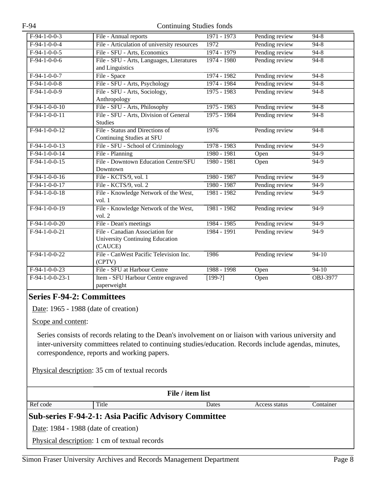| $F-94-1-0-0-3$    | File - Annual reports                       | 1971 - 1973   | Pending review | $94 - 8$ |
|-------------------|---------------------------------------------|---------------|----------------|----------|
| $F-94-1-0-0-4$    | File - Articulation of university resources | 1972          | Pending review | $94 - 8$ |
| $F-94-1-0-0-5$    | File - SFU - Arts, Economics                | 1974 - 1979   | Pending review | $94 - 8$ |
| $F-94-1-0-0-6$    | File - SFU - Arts, Languages, Literatures   | $1974 - 1980$ | Pending review | $94 - 8$ |
|                   | and Linguistics                             |               |                |          |
| $F-94-1-0-0-7$    | File - Space                                | 1974 - 1982   | Pending review | $94 - 8$ |
| $F-94-1-0-0-8$    | File - SFU - Arts, Psychology               | 1974 - 1984   | Pending review | $94 - 8$ |
| $F-94-1-0-0-9$    | File - SFU - Arts, Sociology,               | $1975 - 1983$ | Pending review | $94 - 8$ |
|                   | Anthropology                                |               |                |          |
| $F-94-1-0-0-10$   | File - SFU - Arts, Philosophy               | $1975 - 1983$ | Pending review | $94 - 8$ |
| $F-94-1-0-0-11$   | File - SFU - Arts, Division of General      | $1975 - 1984$ | Pending review | $94 - 8$ |
|                   | <b>Studies</b>                              |               |                |          |
| $F-94-1-0-0-12$   | File - Status and Directions of             | 1976          | Pending review | $94 - 8$ |
|                   | <b>Continuing Studies at SFU</b>            |               |                |          |
| $F-94-1-0-0-13$   | File - SFU - School of Criminology          | 1978 - 1983   | Pending review | $94-9$   |
| $F-94-1-0-0-14$   | File - Planning                             | $1980 - 1981$ | Open           | $94-9$   |
| $F-94-1-0-0-15$   | File - Downtown Education Centre/SFU        | 1980 - 1981   | Open           | $94-9$   |
|                   | Downtown                                    |               |                |          |
| $F-94-1-0-0-16$   | File - KCTS/9, vol. 1                       | 1980 - 1987   | Pending review | 94-9     |
| $F-94-1-0-0-17$   | File - KCTS/9, vol. 2                       | 1980 - 1987   | Pending review | $94-9$   |
| $F-94-1-0-0-18$   | File - Knowledge Network of the West,       | 1981 - 1982   | Pending review | $94-9$   |
|                   | vol.1                                       |               |                |          |
| $F-94-1-0-0-19$   | File - Knowledge Network of the West,       | 1981 - 1982   | Pending review | $94-9$   |
|                   | vol. $2$                                    |               |                |          |
| $F-94-1-0-0-20$   | File - Dean's meetings                      | 1984 - 1985   | Pending review | 94-9     |
| $F-94-1-0-0-21$   | File - Canadian Association for             | $1984 - 1991$ | Pending review | $94-9$   |
|                   | <b>University Continuing Education</b>      |               |                |          |
|                   | (CAUCE)                                     |               |                |          |
| $F-94-1-0-0-22$   | File - CanWest Pacific Television Inc.      | 1986          | Pending review | $94-10$  |
|                   | (CPTV)                                      |               |                |          |
| $F-94-1-0-0-23$   | File - SFU at Harbour Centre                | 1988 - 1998   | Open           | $94-10$  |
| $F-94-1-0-0-23-1$ | Item - SFU Harbour Centre engraved          | $[199-?]$     | Open           | OBJ-3977 |
|                   | paperweight                                 |               |                |          |

# <span id="page-7-0"></span>**Series F-94-2: Committees**

Date: 1965 - 1988 (date of creation)

Scope and content:

Series consists of records relating to the Dean's involvement on or liaison with various university and inter-university committees related to continuing studies/education. Records include agendas, minutes, correspondence, reports and working papers.

Physical description: 35 cm of textual records

| File / item list                                            |                                               |       |               |           |
|-------------------------------------------------------------|-----------------------------------------------|-------|---------------|-----------|
| Ref code                                                    | Title                                         | Dates | Access status | Container |
| <b>Sub-series F-94-2-1: Asia Pacific Advisory Committee</b> |                                               |       |               |           |
| Date: 1984 - 1988 (date of creation)                        |                                               |       |               |           |
|                                                             | Physical description: 1 cm of textual records |       |               |           |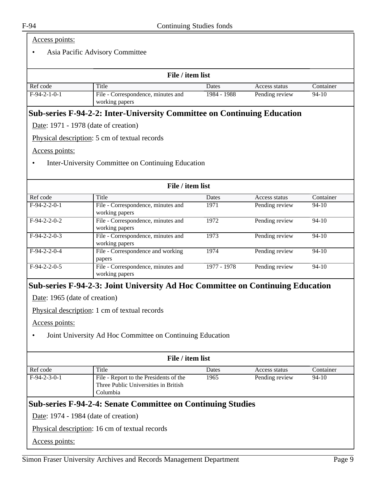#### Access points:

#### • Asia Pacific Advisory Committee

| File / item list |                                                      |             |                |           |
|------------------|------------------------------------------------------|-------------|----------------|-----------|
| Ref code         | Title                                                | Dates       | Access status  | Container |
| $F-94-2-1-0-1$   | File - Correspondence, minutes and<br>working papers | 1984 - 1988 | Pending review | 94-10     |

#### **Sub-series F-94-2-2: Inter-University Committee on Continuing Education**

Date: 1971 - 1978 (date of creation)

Physical description: 5 cm of textual records

Access points:

• Inter-University Committee on Continuing Education

| File / item list |                                                      |             |                |           |
|------------------|------------------------------------------------------|-------------|----------------|-----------|
| Ref code         | Title                                                | Dates       | Access status  | Container |
| $F-94-2-2-0-1$   | File - Correspondence, minutes and<br>working papers | 1971        | Pending review | $94-10$   |
| $F-94-2-2-0-2$   | File - Correspondence, minutes and<br>working papers | 1972        | Pending review | $94 - 10$ |
| $F-94-2-2-0-3$   | File - Correspondence, minutes and<br>working papers | 1973        | Pending review | $94 - 10$ |
| $F-94-2-2-0-4$   | File - Correspondence and working<br>papers          | 1974        | Pending review | $94-10$   |
| $F-94-2-2-0-5$   | File - Correspondence, minutes and<br>working papers | 1977 - 1978 | Pending review | $94-10$   |

#### **Sub-series F-94-2-3: Joint University Ad Hoc Committee on Continuing Education**

Date: 1965 (date of creation)

Physical description: 1 cm of textual records

Access points:

• Joint University Ad Hoc Committee on Continuing Education

| File / item list |                                                                                            |       |                |           |
|------------------|--------------------------------------------------------------------------------------------|-------|----------------|-----------|
| Ref code         | Title                                                                                      | Dates | Access status  | Container |
| $F-94-2-3-0-1$   | File - Report to the Presidents of the<br>Three Public Universities in British<br>Columbia | 1965  | Pending review | $94-10$   |

#### **Sub-series F-94-2-4: Senate Committee on Continuing Studies**

Date: 1974 - 1984 (date of creation)

Physical description: 16 cm of textual records

Access points: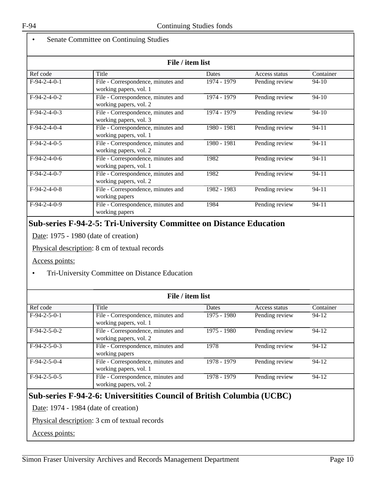#### Senate Committee on Continuing Studies

|                | File / item list                                             |             |                |           |  |  |
|----------------|--------------------------------------------------------------|-------------|----------------|-----------|--|--|
| Ref code       | Title                                                        | Dates       | Access status  | Container |  |  |
| $F-94-2-4-0-1$ | File - Correspondence, minutes and<br>working papers, vol. 1 | 1974 - 1979 | Pending review | $94-10$   |  |  |
| $F-94-2-4-0-2$ | File - Correspondence, minutes and<br>working papers, vol. 2 | 1974 - 1979 | Pending review | $94-10$   |  |  |
| $F-94-2-4-0-3$ | File - Correspondence, minutes and<br>working papers, vol. 3 | 1974 - 1979 | Pending review | $94-10$   |  |  |
| $F-94-2-4-0-4$ | File - Correspondence, minutes and<br>working papers, vol. 1 | 1980 - 1981 | Pending review | $94 - 11$ |  |  |
| $F-94-2-4-0-5$ | File - Correspondence, minutes and<br>working papers, vol. 2 | 1980 - 1981 | Pending review | $94 - 11$ |  |  |
| $F-94-2-4-0-6$ | File - Correspondence, minutes and<br>working papers, vol. 1 | 1982        | Pending review | $94 - 11$ |  |  |
| $F-94-2-4-0-7$ | File - Correspondence, minutes and<br>working papers, vol. 2 | 1982        | Pending review | $94 - 11$ |  |  |
| $F-94-2-4-0-8$ | File - Correspondence, minutes and<br>working papers         | 1982 - 1983 | Pending review | $94 - 11$ |  |  |
| $F-94-2-4-0-9$ | File - Correspondence, minutes and<br>working papers         | 1984        | Pending review | $94 - 11$ |  |  |

# **Sub-series F-94-2-5: Tri-University Committee on Distance Education**

Date: 1975 - 1980 (date of creation)

Physical description: 8 cm of textual records

Access points:

• Tri-University Committee on Distance Education

| File / item list |                                                              |             |                |           |
|------------------|--------------------------------------------------------------|-------------|----------------|-----------|
| Ref code         | Title                                                        | Dates       | Access status  | Container |
| $F-94-2-5-0-1$   | File - Correspondence, minutes and<br>working papers, vol. 1 | 1975 - 1980 | Pending review | $94 - 12$ |
| $F-94-2-5-0-2$   | File - Correspondence, minutes and<br>working papers, vol. 2 | 1975 - 1980 | Pending review | $94 - 12$ |
| $F-94-2-5-0-3$   | File - Correspondence, minutes and<br>working papers         | 1978        | Pending review | $94 - 12$ |
| $F-94-2-5-0-4$   | File - Correspondence, minutes and<br>working papers, vol. 1 | 1978 - 1979 | Pending review | $94 - 12$ |
| $F-94-2-5-0-5$   | File - Correspondence, minutes and<br>working papers, vol. 2 | 1978 - 1979 | Pending review | $94 - 12$ |

# **Sub-series F-94-2-6: Universitities Council of British Columbia (UCBC)**

Date: 1974 - 1984 (date of creation)

Physical description: 3 cm of textual records

Access points: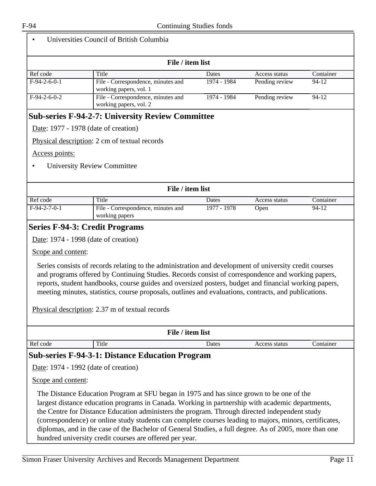| File / item list |                                                              |              |                |           |
|------------------|--------------------------------------------------------------|--------------|----------------|-----------|
| Ref code         | Title                                                        | <b>Dates</b> | Access status  | Container |
| $F-94-2-6-0-1$   | File - Correspondence, minutes and<br>working papers, vol. 1 | 1974 - 1984  | Pending review | 94-12     |
| $F-94-2-6-0-2$   | File - Correspondence, minutes and<br>working papers, vol. 2 | 1974 - 1984  | Pending review | $94-12$   |

# **Sub-series F-94-2-7: University Review Committee**

Date: 1977 - 1978 (date of creation)

Physical description: 2 cm of textual records

Access points:

• University Review Committee

| File / item list |                                                      |             |               |           |
|------------------|------------------------------------------------------|-------------|---------------|-----------|
| Ref code         | Title                                                | Dates       | Access status | Container |
| $F-94-2-7-0-1$   | File - Correspondence, minutes and<br>working papers | 1977 - 1978 | Open          | 94-12     |

# <span id="page-10-0"></span>**Series F-94-3: Credit Programs**

Date: 1974 - 1998 (date of creation)

Scope and content:

Series consists of records relating to the administration and development of university credit courses and programs offered by Continuing Studies. Records consist of correspondence and working papers, reports, student handbooks, course guides and oversized posters, budget and financial working papers, meeting minutes, statistics, course proposals, outlines and evaluations, contracts, and publications.

Physical description: 2.37 m of textual records

| File / item list                                                                                                                                                                                                                                                                                                                                                                                         |       |               |           |  |  |
|----------------------------------------------------------------------------------------------------------------------------------------------------------------------------------------------------------------------------------------------------------------------------------------------------------------------------------------------------------------------------------------------------------|-------|---------------|-----------|--|--|
| Ref code<br>Title                                                                                                                                                                                                                                                                                                                                                                                        | Dates | Access status | Container |  |  |
| <b>Sub-series F-94-3-1: Distance Education Program</b>                                                                                                                                                                                                                                                                                                                                                   |       |               |           |  |  |
| Date: 1974 - 1992 (date of creation)                                                                                                                                                                                                                                                                                                                                                                     |       |               |           |  |  |
| Scope and content:                                                                                                                                                                                                                                                                                                                                                                                       |       |               |           |  |  |
| The Distance Education Program at SFU began in 1975 and has since grown to be one of the<br>largest distance education programs in Canada. Working in partnership with academic departments,<br>the Centre for Distance Education administers the program. Through directed independent study<br>(correspondence) or online study students can complete courses leading to majors, minors, certificates, |       |               |           |  |  |
| diplomas, and in the case of the Bachelor of General Studies, a full degree. As of 2005, more than one<br>hundred university credit courses are offered per year.                                                                                                                                                                                                                                        |       |               |           |  |  |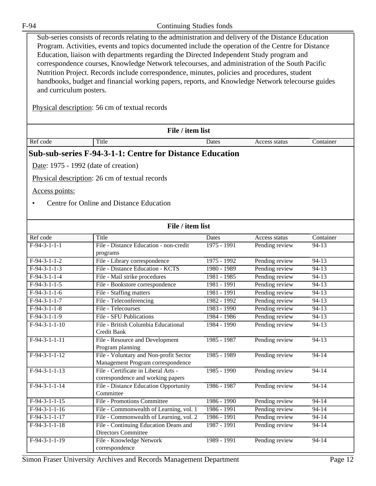| F-94                                                   | Continuing Studies fonds                                                                                                                                                                                                                                                                                                                                                                                                                                                                                                                                                                                                                                       |               |                |           |  |
|--------------------------------------------------------|----------------------------------------------------------------------------------------------------------------------------------------------------------------------------------------------------------------------------------------------------------------------------------------------------------------------------------------------------------------------------------------------------------------------------------------------------------------------------------------------------------------------------------------------------------------------------------------------------------------------------------------------------------------|---------------|----------------|-----------|--|
| and curriculum posters.                                | Sub-series consists of records relating to the administration and delivery of the Distance Education<br>Program. Activities, events and topics documented include the operation of the Centre for Distance<br>Education, liaison with departments regarding the Directed Independent Study program and<br>correspondence courses, Knowledge Network telecourses, and administration of the South Pacific<br>Nutrition Project. Records include correspondence, minutes, policies and procedures, student<br>handbooks, budget and financial working papers, reports, and Knowledge Network telecourse guides<br>Physical description: 56 cm of textual records |               |                |           |  |
|                                                        | File / item list                                                                                                                                                                                                                                                                                                                                                                                                                                                                                                                                                                                                                                               |               |                |           |  |
| Ref code                                               | Title                                                                                                                                                                                                                                                                                                                                                                                                                                                                                                                                                                                                                                                          | Dates         | Access status  | Container |  |
| Date: 1975 - 1992 (date of creation)<br>Access points: | Physical description: 26 cm of textual records<br>Centre for Online and Distance Education                                                                                                                                                                                                                                                                                                                                                                                                                                                                                                                                                                     |               |                |           |  |
|                                                        | File / item list                                                                                                                                                                                                                                                                                                                                                                                                                                                                                                                                                                                                                                               |               |                |           |  |
| Ref code                                               | Title                                                                                                                                                                                                                                                                                                                                                                                                                                                                                                                                                                                                                                                          | Dates         | Access status  | Container |  |
| $F-94-3-1-1-1$                                         | File - Distance Education - non-credit<br>programs                                                                                                                                                                                                                                                                                                                                                                                                                                                                                                                                                                                                             | $1975 - 1991$ | Pending review | 94-13     |  |
| $F-94-3-1-1-2$                                         | File - Library correspondence                                                                                                                                                                                                                                                                                                                                                                                                                                                                                                                                                                                                                                  | 1975 - 1992   | Pending review | 94-13     |  |
| $F-94-3-1-1-3$                                         | File - Distance Education - KCTS                                                                                                                                                                                                                                                                                                                                                                                                                                                                                                                                                                                                                               | 1980 - 1989   | Pending review | $94 - 13$ |  |
| $F-94-3-1-1-4$                                         | File - Mail strike procedures                                                                                                                                                                                                                                                                                                                                                                                                                                                                                                                                                                                                                                  | 1981 - 1985   | Pending review | $94 - 13$ |  |
| $F-94-3-1-1-5$                                         | File - Bookstore correspondence                                                                                                                                                                                                                                                                                                                                                                                                                                                                                                                                                                                                                                | $1981 - 1991$ | Pending review | $94 - 13$ |  |
| $F-94-3-1-1-6$                                         | File - Staffing matters                                                                                                                                                                                                                                                                                                                                                                                                                                                                                                                                                                                                                                        | 1981 - 1991   | Pending review | 94-13     |  |
| $F-94-3-1-1-7$                                         | File - Teleconferencing                                                                                                                                                                                                                                                                                                                                                                                                                                                                                                                                                                                                                                        | $1982 - 1992$ | Pending review | $94-13$   |  |
| $F-94-3-1-1-8$                                         | File - Telecourses                                                                                                                                                                                                                                                                                                                                                                                                                                                                                                                                                                                                                                             | 1983 - 1990   | Pending review | $94 - 13$ |  |
| $F-94-3-1-1-9$                                         | File - SFU Publications                                                                                                                                                                                                                                                                                                                                                                                                                                                                                                                                                                                                                                        | 1984 - 1986   | Pending review | $94 - 13$ |  |
| $F-94-3-1-1-10$                                        | File - British Columbia Educational<br>Credit Bank                                                                                                                                                                                                                                                                                                                                                                                                                                                                                                                                                                                                             | 1984 - 1990   | Pending review | $94-13$   |  |
| $F-94-3-1-1-11$                                        | File - Resource and Development<br>Program planning                                                                                                                                                                                                                                                                                                                                                                                                                                                                                                                                                                                                            | 1985 - 1987   | Pending review | $94-13$   |  |
| $F-94-3-1-1-12$                                        | File - Voluntary and Non-profit Sector<br>Management Program correspondence                                                                                                                                                                                                                                                                                                                                                                                                                                                                                                                                                                                    | 1985 - 1989   | Pending review | $94 - 14$ |  |
| $F-94-3-1-1-13$                                        | File - Certificate in Liberal Arts -<br>correspondence and working papers                                                                                                                                                                                                                                                                                                                                                                                                                                                                                                                                                                                      | $1985 - 1990$ | Pending review | $94 - 14$ |  |
| $F-94-3-1-1-14$                                        | File - Distance Education Opportunity<br>Committee                                                                                                                                                                                                                                                                                                                                                                                                                                                                                                                                                                                                             | 1986 - 1987   | Pending review | 94-14     |  |
| $F-94-3-1-1-15$                                        | File - Promotions Committee                                                                                                                                                                                                                                                                                                                                                                                                                                                                                                                                                                                                                                    | 1986 - 1990   | Pending review | $94 - 14$ |  |
| $F-94-3-1-1-16$                                        | File - Commonwealth of Learning, vol. 1                                                                                                                                                                                                                                                                                                                                                                                                                                                                                                                                                                                                                        | 1986 - 1991   | Pending review | $94 - 14$ |  |
| $F-94-3-1-1-17$                                        | File - Commonwealth of Learning, vol. 2                                                                                                                                                                                                                                                                                                                                                                                                                                                                                                                                                                                                                        | 1986 - 1991   | Pending review | $94 - 14$ |  |
| $F-94-3-1-1-18$                                        | File - Continuing Education Deans and<br>Directors Committee                                                                                                                                                                                                                                                                                                                                                                                                                                                                                                                                                                                                   | 1987 - 1991   | Pending review | $94 - 14$ |  |
| $F-94-3-1-1-19$                                        | File - Knowledge Network<br>correspondence                                                                                                                                                                                                                                                                                                                                                                                                                                                                                                                                                                                                                     | 1989 - 1991   | Pending review | $94 - 14$ |  |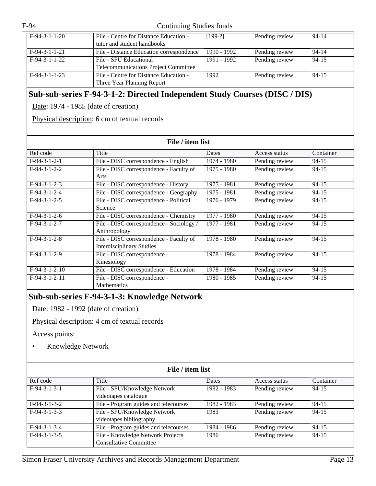| $F-94-3-1-1-20$ | File - Centre for Distance Education -   | $[199-?]$   | Pending review | $94 - 14$ |
|-----------------|------------------------------------------|-------------|----------------|-----------|
|                 | tutor and student handbooks              |             |                |           |
| $F-94-3-1-1-21$ | File - Distance Education correspondence | 1990 - 1992 | Pending review | $94 - 14$ |
| $F-94-3-1-1-22$ | File - SFU Educational                   | 1991 - 1992 | Pending review | $94 - 15$ |
|                 | Telecommunications Project Committee     |             |                |           |
| $F-94-3-1-1-23$ | File - Centre for Distance Education -   | 1992        | Pending review | $94 - 15$ |
|                 | Three Year Planning Report               |             |                |           |

#### **Sub-sub-series F-94-3-1-2: Directed Independent Study Courses (DISC / DIS)**

Date: 1974 - 1985 (date of creation)

Physical description: 6 cm of textual records

| File / item list           |                                                                             |             |                |           |
|----------------------------|-----------------------------------------------------------------------------|-------------|----------------|-----------|
| Ref code                   | Title                                                                       | Dates       | Access status  | Container |
| $F-94-3-1-2-1$             | File - DISC correspondence - English                                        | 1974 - 1980 | Pending review | 94-15     |
| $F-94-3-1-2-2$             | File - DISC correspondence - Faculty of<br>Arts                             | 1975 - 1980 | Pending review | $94 - 15$ |
| $F-94-3-1-2-3$             | File - DISC correspondence - History                                        | 1975 - 1981 | Pending review | $94 - 15$ |
| $F-94-3-1-2-4$             | File - DISC correspondence - Geography                                      | 1975 - 1981 | Pending review | $94 - 15$ |
| $F-94-3-1-2-5$             | File - DISC correspondence - Political<br>Science                           | 1976 - 1979 | Pending review | $94 - 15$ |
| $F-94-3-1-2-6$             | File - DISC correspondence - Chemistry                                      | 1977 - 1980 | Pending review | $94 - 15$ |
| $F-94-3-1-2-7$             | File - DISC correspondence - Sociology /<br>Anthropology                    | 1977 - 1981 | Pending review | 94-15     |
| $F-94-3-1-2-8$             | File - DISC correspondence - Faculty of<br><b>Interdisciplinary Studies</b> | 1978 - 1980 | Pending review | $94 - 15$ |
| $\overline{F-9}$ 4-3-1-2-9 | File - DISC correspondence -<br>Kinesiology                                 | 1978 - 1984 | Pending review | $94 - 15$ |
| $F-94-3-1-2-10$            | File - DISC correspondence - Education                                      | 1978 - 1984 | Pending review | $94 - 15$ |
| $F-94-3-1-2-11$            | File - DISC correspondence -<br><b>Mathematics</b>                          | 1980 - 1985 | Pending review | 94-15     |

#### **Sub-sub-series F-94-3-1-3: Knowledge Network**

Date: 1982 - 1992 (date of creation)

Physical description: 4 cm of textual records

Access points:

• Knowledge Network

| File / item list |                                                                    |              |                |           |  |
|------------------|--------------------------------------------------------------------|--------------|----------------|-----------|--|
| Ref code         | Title                                                              | <b>Dates</b> | Access status  | Container |  |
| $F-94-3-1-3-1$   | File - SFU/Knowledge Network<br>videotapes catalogue               | 1982 - 1983  | Pending review | $94 - 15$ |  |
| $F-94-3-1-3-2$   | File - Program guides and telecourses                              | 1982 - 1983  | Pending review | $94 - 15$ |  |
| $F-94-3-1-3-3$   | File - SFU/Knowledge Network<br>videotapes bibliography            | 1983         | Pending review | $94 - 15$ |  |
| $F-94-3-1-3-4$   | File - Program guides and telecourses                              | 1984 - 1986  | Pending review | $94 - 15$ |  |
| $F-94-3-1-3-5$   | File - Knowledge Network Projects<br><b>Consultative Committee</b> | 1986         | Pending review | $94 - 15$ |  |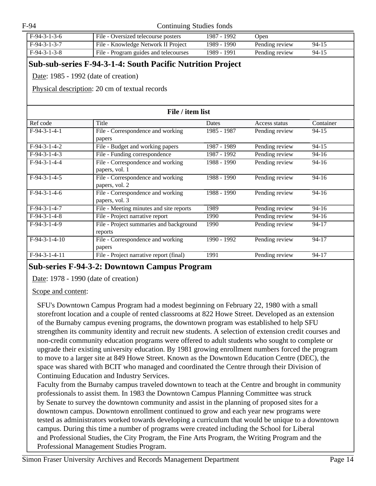| $F-94-3-1-3-6$ | File - Oversized telecourse posters   | 1987 - 1992 | Open           |           |
|----------------|---------------------------------------|-------------|----------------|-----------|
| $F-94-3-1-3-7$ | File - Knowledge Network II Project   | 1989 - 1990 | Pending review | $94 - 15$ |
| $F-94-3-1-3-8$ | File - Program guides and telecourses | 1989 - 1991 | Pending review | $94 - 15$ |

#### **Sub-sub-series F-94-3-1-4: South Pacific Nutrition Project**

Date: 1985 - 1992 (date of creation)

Physical description: 20 cm of textual records

| File / item list |                                                     |             |                |           |
|------------------|-----------------------------------------------------|-------------|----------------|-----------|
| Ref code         | Title                                               | Dates       | Access status  | Container |
| $F-94-3-1-4-1$   | File - Correspondence and working<br>papers         | 1985 - 1987 | Pending review | $94 - 15$ |
| $F-94-3-1-4-2$   | File - Budget and working papers                    | 1987 - 1989 | Pending review | $94 - 15$ |
| $F-94-3-1-4-3$   | File - Funding correspondence                       | 1987 - 1992 | Pending review | $94-16$   |
| $F-94-3-1-4-4$   | File - Correspondence and working<br>papers, vol. 1 | 1988 - 1990 | Pending review | $94 - 16$ |
| $F-94-3-1-4-5$   | File - Correspondence and working<br>papers, vol. 2 | 1988 - 1990 | Pending review | $94 - 16$ |
| $F-94-3-1-4-6$   | File - Correspondence and working<br>papers, vol. 3 | 1988 - 1990 | Pending review | $94 - 16$ |
| $F-94-3-1-4-7$   | File - Meeting minutes and site reports             | 1989        | Pending review | $94-16$   |
| $F-94-3-1-4-8$   | File - Project narrative report                     | 1990        | Pending review | $94-16$   |
| $F-94-3-1-4-9$   | File - Project summaries and background<br>reports  | 1990        | Pending review | $94 - 17$ |
| $F-94-3-1-4-10$  | File - Correspondence and working<br>papers         | 1990 - 1992 | Pending review | 94-17     |
| $F-94-3-1-4-11$  | File - Project narrative report (final)             | 1991        | Pending review | $94 - 17$ |

#### **Sub-series F-94-3-2: Downtown Campus Program**

Date: 1978 - 1990 (date of creation)

#### Scope and content:

SFU's Downtown Campus Program had a modest beginning on February 22, 1980 with a small storefront location and a couple of rented classrooms at 822 Howe Street. Developed as an extension of the Burnaby campus evening programs, the downtown program was established to help SFU strengthen its community identity and recruit new students. A selection of extension credit courses and non-credit community education programs were offered to adult students who sought to complete or upgrade their existing university education. By 1981 growing enrollment numbers forced the program to move to a larger site at 849 Howe Street. Known as the Downtown Education Centre (DEC), the space was shared with BCIT who managed and coordinated the Centre through their Division of Continuing Education and Industry Services.

Faculty from the Burnaby campus traveled downtown to teach at the Centre and brought in community professionals to assist them. In 1983 the Downtown Campus Planning Committee was struck by Senate to survey the downtown community and assist in the planning of proposed sites for a downtown campus. Downtown enrollment continued to grow and each year new programs were tested as administrators worked towards developing a curriculum that would be unique to a downtown campus. During this time a number of programs were created including the School for Liberal and Professional Studies, the City Program, the Fine Arts Program, the Writing Program and the Professional Management Studies Program.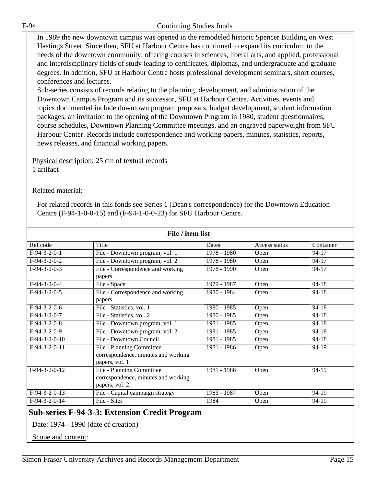In 1989 the new downtown campus was opened in the remodeled historic Spencer Building on West Hastings Street. Since then, SFU at Harbour Centre has continued to expand its curriculum to the needs of the downtown community, offering courses in sciences, liberal arts, and applied, professional and interdisciplinary fields of study leading to certificates, diplomas, and undergraduate and graduate degrees. In addition, SFU at Harbour Centre hosts professional development seminars, short courses, conferences and lectures.

Sub-series consists of records relating to the planning, development, and administration of the Downtown Campus Program and its successor, SFU at Harbour Centre. Activities, events and topics documented include downtown program proposals, budget development, student information packages, an invitation to the opening of the Downtown Program in 1980, student questionnaires, course schedules, Downtown Planning Committee meetings, and an engraved paperweight from SFU Harbour Center. Records include correspondence and working papers, minutes, statistics, reports, news releases, and financial working papers.

Physical description: 25 cm of textual records 1 artifact

#### Related material:

For related records in this fonds see Series 1 (Dean's correspondence) for the Downtown Education Centre (F-94-1-0-0-15) and (F-94-1-0-0-23) for SFU Harbour Centre.

| File / item list           |                                                                                    |             |               |           |
|----------------------------|------------------------------------------------------------------------------------|-------------|---------------|-----------|
| Ref code                   | Title                                                                              | Dates       | Access status | Container |
| $F-94-3-2-0-1$             | File - Downtown program, vol. 1                                                    | 1978 - 1980 | Open          | 94-17     |
| $F-94-3-2-0-2$             | File - Downtown program, vol. 2                                                    | 1978 - 1980 | Open          | $94 - 17$ |
| $F-94-3-2-0-3$             | File - Correspondence and working<br>papers                                        | 1978 - 1990 | Open          | $94 - 17$ |
| $F-94-3-2-0-4$             | File - Space                                                                       | 1979 - 1987 | Open          | $94 - 18$ |
| $F-94-3-2-0-5$             | File - Correspondence and working<br>papers                                        | 1980 - 1984 | Open          | $94 - 18$ |
| $F-94-3-2-0-6$             | File - Statistics, vol. 1                                                          | 1980 - 1985 | Open          | $94 - 18$ |
| $F-94-3-2-0-7$             | File - Statistics, vol. 2                                                          | 1980 - 1985 | Open          | $94 - 18$ |
| $F-94-3-2-0-8$             | File - Downtown program, vol. 1                                                    | 1981 - 1985 | Open          | $94 - 18$ |
| $\overline{F-9}$ 4-3-2-0-9 | File - Downtown program, vol. 2                                                    | 1981 - 1985 | Open          | $94 - 18$ |
| $F-94-3-2-0-10$            | File - Downtown Council                                                            | 1981 - 1985 | Open          | $94 - 18$ |
| $F-94-3-2-0-11$            | File - Planning Committee<br>correspondence, minutes and working<br>papers, vol. 1 | 1981 - 1986 | Open          | 94-19     |
| $F-94-3-2-0-12$            | File - Planning Committee<br>correspondence, minutes and working<br>papers, vol. 2 | 1981 - 1986 | Open          | 94-19     |
| $F-94-3-2-0-13$            | File - Capital campaign strategy                                                   | 1983 - 1987 | Open          | 94-19     |
| $F-94-3-2-0-14$            | File - Sites                                                                       | 1984        | Open          | 94-19     |

#### **Sub-series F-94-3-3: Extension Credit Program**

Date: 1974 - 1990 (date of creation)

Scope and content: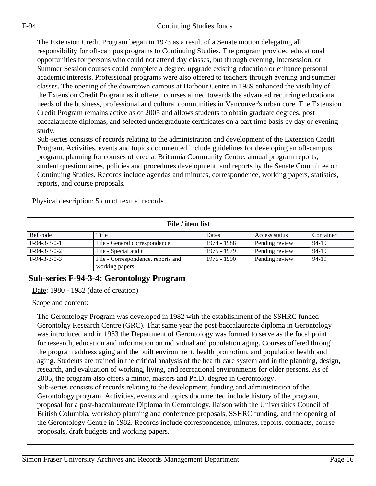The Extension Credit Program began in 1973 as a result of a Senate motion delegating all responsibility for off-campus programs to Continuing Studies. The program provided educational opportunities for persons who could not attend day classes, but through evening, Intersession, or Summer Session courses could complete a degree, upgrade existing education or enhance personal academic interests. Professional programs were also offered to teachers through evening and summer classes. The opening of the downtown campus at Harbour Centre in 1989 enhanced the visibility of the Extension Credit Program as it offered courses aimed towards the advanced recurring educational needs of the business, professional and cultural communities in Vancouver's urban core. The Extension Credit Program remains active as of 2005 and allows students to obtain graduate degrees, post baccalaureate diplomas, and selected undergraduate certificates on a part time basis by day or evening study.

Sub-series consists of records relating to the administration and development of the Extension Credit Program. Activities, events and topics documented include guidelines for developing an off-campus program, planning for courses offered at Britannia Community Centre, annual program reports, student questionnaires, policies and procedures development, and reports by the Senate Committee on Continuing Studies. Records include agendas and minutes, correspondence, working papers, statistics, reports, and course proposals.

Physical description: 5 cm of textual records

| File / item list |                                    |             |                |           |
|------------------|------------------------------------|-------------|----------------|-----------|
| Ref code         | Title                              | Dates       | Access status  | Container |
| $F-94-3-3-0-1$   | File - General correspondence      | 1974 - 1988 | Pending review | 94-19     |
| $F-94-3-3-0-2$   | File - Special audit               | 1975 - 1979 | Pending review | 94-19     |
| $F-94-3-3-0-3$   | File - Correspondence, reports and | 1975 - 1990 | Pending review | 94-19     |
|                  | working papers                     |             |                |           |

# **Sub-series F-94-3-4: Gerontology Program**

Date: 1980 - 1982 (date of creation)

#### Scope and content:

The Gerontology Program was developed in 1982 with the establishment of the SSHRC funded Gerontolgy Research Centre (GRC). That same year the post-baccalaureate diploma in Gerontology was introduced and in 1983 the Department of Gerontology was formed to serve as the focal point for research, education and information on individual and population aging. Courses offered through the program address aging and the built environment, health promotion, and population health and aging. Students are trained in the critical analysis of the health care system and in the planning, design, research, and evaluation of working, living, and recreational environments for older persons. As of 2005, the program also offers a minor, masters and Ph.D. degree in Gerontology. Sub-series consists of records relating to the development, funding and administration of the Gerontology program. Activities, events and topics documented include history of the program, proposal for a post-baccalaureate Diploma in Gerontology, liaison with the Universities Council of British Columbia, workshop planning and conference proposals, SSHRC funding, and the opening of the Gerontology Centre in 1982. Records include correspondence, minutes, reports, contracts, course proposals, draft budgets and working papers.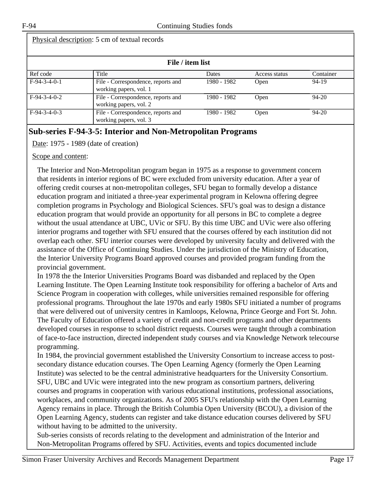| Physical description: 5 cm of textual records |                                                              |             |               |           |
|-----------------------------------------------|--------------------------------------------------------------|-------------|---------------|-----------|
|                                               | File / item list                                             |             |               |           |
| Ref code                                      | Title                                                        | Dates       | Access status | Container |
| $F-94-3-4-0-1$                                | File - Correspondence, reports and<br>working papers, vol. 1 | 1980 - 1982 | <b>Open</b>   | 94-19     |
| $F-94-3-4-0-2$                                | File - Correspondence, reports and<br>working papers, vol. 2 | 1980 - 1982 | Open          | $94 - 20$ |
| $F-94-3-4-0-3$                                | File - Correspondence, reports and<br>working papers, vol. 3 | 1980 - 1982 | <b>Open</b>   | $94 - 20$ |

# **Sub-series F-94-3-5: Interior and Non-Metropolitan Programs**

Date: 1975 - 1989 (date of creation)

Scope and content:

The Interior and Non-Metropolitan program began in 1975 as a response to government concern that residents in interior regions of BC were excluded from university education. After a year of offering credit courses at non-metropolitan colleges, SFU began to formally develop a distance education program and initiated a three-year experimental program in Kelowna offering degree completion programs in Psychology and Biological Sciences. SFU's goal was to design a distance education program that would provide an opportunity for all persons in BC to complete a degree without the usual attendance at UBC, UVic or SFU. By this time UBC and UVic were also offering interior programs and together with SFU ensured that the courses offered by each institution did not overlap each other. SFU interior courses were developed by university faculty and delivered with the assistance of the Office of Continuing Studies. Under the jurisdiction of the Ministry of Education, the Interior University Programs Board approved courses and provided program funding from the provincial government.

In 1978 the the Interior Universities Programs Board was disbanded and replaced by the Open Learning Institute. The Open Learning Institute took responsibility for offering a bachelor of Arts and Science Program in cooperation with colleges, while universities remained responsible for offering professional programs. Throughout the late 1970s and early 1980s SFU initiated a number of programs that were delivered out of university centres in Kamloops, Kelowna, Prince George and Fort St. John. The Faculty of Education offered a variety of credit and non-credit programs and other departments developed courses in response to school district requests. Courses were taught through a combination of face-to-face instruction, directed independent study courses and via Knowledge Network telecourse programming.

In 1984, the provincial government established the University Consortium to increase access to postsecondary distance education courses. The Open Learning Agency (formerly the Open Learning Institute) was selected to be the central administrative headquarters for the University Consortium. SFU, UBC and UVic were integrated into the new program as consortium partners, delivering courses and programs in cooperation with various educational institutions, professional associations, workplaces, and community organizations. As of 2005 SFU's relationship with the Open Learning Agency remains in place. Through the British Columbia Open University (BCOU), a division of the Open Learning Agency, students can register and take distance education courses delivered by SFU without having to be admitted to the university.

Sub-series consists of records relating to the development and administration of the Interior and Non-Metropolitan Programs offered by SFU. Activities, events and topics documented include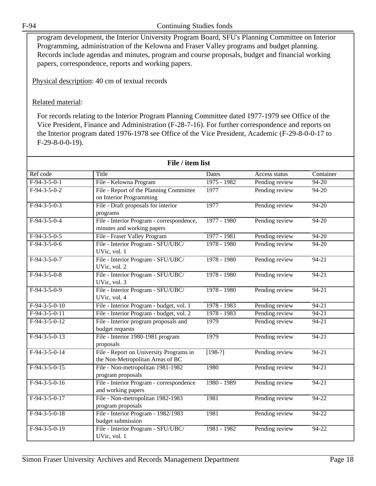program development, the Interior University Program Board, SFU's Planning Committee on Interior Programming, administration of the Kelowna and Fraser Valley programs and budget planning. Records include agendas and minutes, program and course proposals, budget and financial working papers, correspondence, reports and working papers.

Physical description: 40 cm of textual records

#### Related material:

For records relating to the Interior Program Planning Committee dated 1977-1979 see Office of the Vice President, Finance and Administration (F-28-7-16). For further correspondence and reports on the Interior program dated 1976-1978 see Office of the Vice President, Academic (F-29-8-0-0-17 to F-29-8-0-0-19).

| File / item list |                                                                             |               |                |           |
|------------------|-----------------------------------------------------------------------------|---------------|----------------|-----------|
| Ref code         | Title                                                                       | Dates         | Access status  | Container |
| $F-94-3-5-0-1$   | File - Kelowna Program                                                      | $1975 - 1982$ | Pending review | $94 - 20$ |
| $F-94-3-5-0-2$   | File - Report of the Planning Committee<br>on Interior Programming          | 1977          | Pending review | $94 - 20$ |
| $F-94-3-5-0-3$   | File - Draft proposals for interior<br>programs                             | 1977          | Pending review | $94 - 20$ |
| $F-94-3-5-0-4$   | File - Interior Program - correspondence,<br>minutes and working papers     | 1977 - 1980   | Pending review | $94 - 20$ |
| $F-94-3-5-0-5$   | File - Fraser Valley Program                                                | 1977 - 1981   | Pending review | $94 - 20$ |
| $F-94-3-5-0-6$   | File - Interior Program - SFU/UBC/<br>UVic, vol. 1                          | $1978 - 1980$ | Pending review | $94 - 20$ |
| $F-94-3-5-0-7$   | File - Interior Program - SFU/UBC/<br>UVic, vol. 2                          | $1978 - 1980$ | Pending review | $94 - 21$ |
| $F-94-3-5-0-8$   | File - Interior Program - SFU/UBC/<br>UVic, vol. 3                          | 1978 - 1980   | Pending review | $94 - 21$ |
| $F-94-3-5-0-9$   | File - Interior Program - SFU/UBC/<br>UVic, vol. 4                          | 1978 - 1980   | Pending review | $94 - 21$ |
| $F-94-3-5-0-10$  | File - Interior Program - budget, vol. 1                                    | 1978 - 1983   | Pending review | $94 - 21$ |
| $F-94-3-5-0-11$  | File - Interior Program - budget, vol. 2                                    | 1978 - 1983   | Pending review | $94 - 21$ |
| $F-94-3-5-0-12$  | File - Interior program proposals and<br>budget requests                    | 1979          | Pending review | $94 - 21$ |
| $F-94-3-5-0-13$  | File - Interior 1980-1981 program<br>proposals                              | 1979          | Pending review | $94 - 21$ |
| $F-94-3-5-0-14$  | File - Report on University Programs in<br>the Non-Metropolitan Areas of BC | $[198-?]$     | Pending review | $94 - 21$ |
| $F-94-3-5-0-15$  | File - Non-metropolitan 1981-1982<br>program proposals                      | 1980          | Pending review | $94 - 21$ |
| $F-94-3-5-0-16$  | File - Interior Program - correspondence<br>and working papers              | 1980 - 1989   | Pending review | $94 - 21$ |
| $F-94-3-5-0-17$  | File - Non-metropolitan 1982-1983<br>program proposals                      | 1981          | Pending review | $94 - 22$ |
| $F-94-3-5-0-18$  | File - Interior Program - 1982/1983<br>budget submission                    | 1981          | Pending review | $94 - 22$ |
| $F-94-3-5-0-19$  | File - Interior Program - SFU/UBC/<br>UVic, vol. 1                          | 1981 - 1982   | Pending review | 94-22     |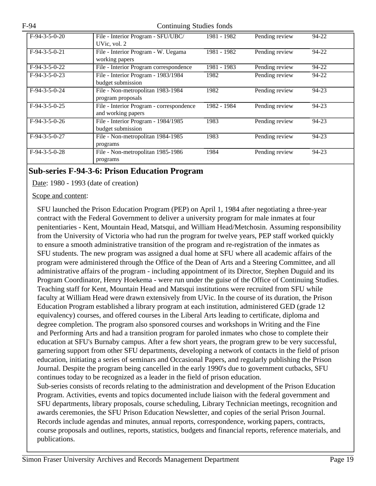| $F-94-3-5-0-20$ | File - Interior Program - SFU/UBC/<br>UVic, vol. 2             | 1981 - 1982 | Pending review | 94-22 |
|-----------------|----------------------------------------------------------------|-------------|----------------|-------|
| $F-94-3-5-0-21$ | File - Interior Program - W. Uegama<br>working papers          | 1981 - 1982 | Pending review | 94-22 |
| $F-94-3-5-0-22$ | File - Interior Program correspondence                         | 1981 - 1983 | Pending review | 94-22 |
| $F-94-3-5-0-23$ | File - Interior Program - 1983/1984<br>budget submission       | 1982        | Pending review | 94-22 |
| $F-94-3-5-0-24$ | File - Non-metropolitan 1983-1984<br>program proposals         | 1982        | Pending review | 94-23 |
| $F-94-3-5-0-25$ | File - Interior Program - correspondence<br>and working papers | 1982 - 1984 | Pending review | 94-23 |
| $F-94-3-5-0-26$ | File - Interior Program - 1984/1985<br>budget submission       | 1983        | Pending review | 94-23 |
| $F-94-3-5-0-27$ | File - Non-metropolitan 1984-1985<br>programs                  | 1983        | Pending review | 94-23 |
| $F-94-3-5-0-28$ | File - Non-metropolitan 1985-1986<br>programs                  | 1984        | Pending review | 94-23 |

#### **Sub-series F-94-3-6: Prison Education Program**

Date: 1980 - 1993 (date of creation)

#### Scope and content:

SFU launched the Prison Education Program (PEP) on April 1, 1984 after negotiating a three-year contract with the Federal Government to deliver a university program for male inmates at four penitentiaries - Kent, Mountain Head, Matsqui, and William Head/Metchosin. Assuming responsibility from the University of Victoria who had run the program for twelve years, PEP staff worked quickly to ensure a smooth administrative transition of the program and re-registration of the inmates as SFU students. The new program was assigned a dual home at SFU where all academic affairs of the program were administered through the Office of the Dean of Arts and a Steering Committee, and all administrative affairs of the program - including appointment of its Director, Stephen Duguid and its Program Coordinator, Henry Hoekema - were run under the guise of the Office of Continuing Studies. Teaching staff for Kent, Mountain Head and Matsqui institutions were recruited from SFU while faculty at William Head were drawn extensively from UVic. In the course of its duration, the Prison Education Program established a library program at each institution, administered GED (grade 12 equivalency) courses, and offered courses in the Liberal Arts leading to certificate, diploma and degree completion. The program also sponsored courses and workshops in Writing and the Fine and Performing Arts and had a transition program for paroled inmates who chose to complete their education at SFU's Burnaby campus. After a few short years, the program grew to be very successful, garnering support from other SFU departments, developing a network of contacts in the field of prison education, initiating a series of seminars and Occasional Papers, and regularly publishing the Prison Journal. Despite the program being cancelled in the early 1990's due to government cutbacks, SFU continues today to be recognized as a leader in the field of prison education. Sub-series consists of records relating to the administration and development of the Prison Education Program. Activities, events and topics documented include liaison with the federal government and SFU departments, library proposals, course scheduling, Library Technician meetings, recognition and awards ceremonies, the SFU Prison Education Newsletter, and copies of the serial Prison Journal. Records include agendas and minutes, annual reports, correspondence, working papers, contracts, course proposals and outlines, reports, statistics, budgets and financial reports, reference materials, and publications.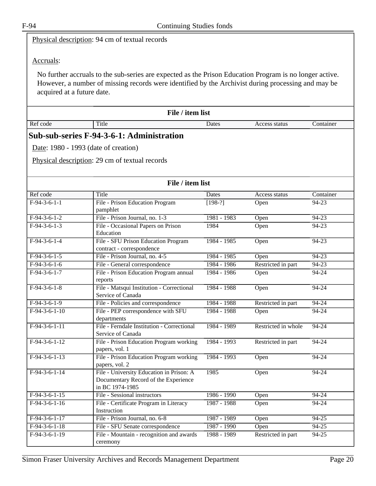Physical description: 94 cm of textual records

#### Accruals:

No further accruals to the sub-series are expected as the Prison Education Program is no longer active. However, a number of missing records were identified by the Archivist during processing and may be acquired at a future date.

| File / item list |       |       |               |           |
|------------------|-------|-------|---------------|-----------|
| Ref code         | Title | Dates | Access status | Container |
|                  |       |       |               |           |

# **Sub-sub-series F-94-3-6-1: Administration**

Date: 1980 - 1993 (date of creation)

Physical description: 29 cm of textual records

| File / item list |                                                                                                     |               |                     |           |
|------------------|-----------------------------------------------------------------------------------------------------|---------------|---------------------|-----------|
| Ref code         | Title                                                                                               | <b>Dates</b>  | Access status       | Container |
| $F-94-3-6-1-1$   | File - Prison Education Program<br>pamphlet                                                         | $[198-?]$     | Open                | $94 - 23$ |
| $F-94-3-6-1-2$   | File - Prison Journal, no. 1-3                                                                      | 1981 - 1983   | Open                | $94 - 23$ |
| $F-94-3-6-1-3$   | File - Occasional Papers on Prison<br>Education                                                     | 1984          | Open                | $94 - 23$ |
| $F-94-3-6-1-4$   | File - SFU Prison Education Program<br>contract - correspondence                                    | 1984 - 1985   | Open                | $94 - 23$ |
| $F-94-3-6-1-5$   | File - Prison Journal, no. 4-5                                                                      | $1984 - 1985$ | Open                | $94 - 23$ |
| $F-94-3-6-1-6$   | File - General correspondence                                                                       | 1984 - 1986   | Restricted in part  | $94 - 23$ |
| $F-94-3-6-1-7$   | File - Prison Education Program annual<br>reports                                                   | 1984 - 1986   | Open                | 94-24     |
| $F-94-3-6-1-8$   | File - Matsqui Institution - Correctional<br>Service of Canada                                      | 1984 - 1988   | Open                | 94-24     |
| $F-94-3-6-1-9$   | File - Policies and correspondence                                                                  | 1984 - 1988   | Restricted in part  | 94-24     |
| $F-94-3-6-1-10$  | File - PEP correspondence with SFU<br>departments                                                   | 1984 - 1988   | Open                | $94 - 24$ |
| $F-94-3-6-1-11$  | File - Ferndale Institution - Correctional<br>Service of Canada                                     | 1984 - 1989   | Restricted in whole | $94 - 24$ |
| $F-94-3-6-1-12$  | File - Prison Education Program working<br>papers, vol. 1                                           | 1984 - 1993   | Restricted in part  | $94 - 24$ |
| $F-94-3-6-1-13$  | File - Prison Education Program working<br>papers, vol. 2                                           | 1984 - 1993   | Open                | 94-24     |
| $F-94-3-6-1-14$  | File - University Education in Prison: A<br>Documentary Record of the Experience<br>in BC 1974-1985 | 1985          | Open                | $94 - 24$ |
| $F-94-3-6-1-15$  | File - Sessional instructors                                                                        | 1986 - 1990   | Open                | $94 - 24$ |
| $F-94-3-6-1-16$  | File - Certificate Program in Literacy<br>Instruction                                               | 1987 - 1988   | Open                | $94 - 24$ |
| $F-94-3-6-1-17$  | File - Prison Journal, no. 6-8                                                                      | 1987 - 1989   | Open                | $94 - 25$ |
| $F-94-3-6-1-18$  | File - SFU Senate correspondence                                                                    | 1987 - 1990   | Open                | $94 - 25$ |
| $F-94-3-6-1-19$  | File - Mountain - recognition and awards<br>ceremony                                                | 1988 - 1989   | Restricted in part  | $94 - 25$ |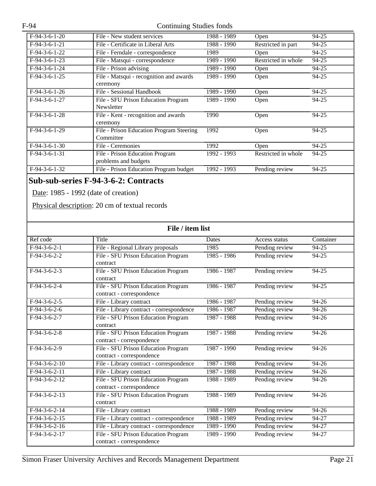| $F-94-3-6-1-20$ | File - New student services              | 1988 - 1989 | Open                | 94-25     |
|-----------------|------------------------------------------|-------------|---------------------|-----------|
| $F-94-3-6-1-21$ | File - Certificate in Liberal Arts       | 1988 - 1990 | Restricted in part  | 94-25     |
| $F-94-3-6-1-22$ | File - Ferndale - correspondence         | 1989        | Open                | 94-25     |
| $F-94-3-6-1-23$ | File - Matsqui - correspondence          | 1989 - 1990 | Restricted in whole | 94-25     |
| $F-94-3-6-1-24$ | File - Prison advising                   | 1989 - 1990 | <b>Open</b>         | 94-25     |
| $F-94-3-6-1-25$ | File - Matsqui - recognition and awards  | 1989 - 1990 | Open                | $94 - 25$ |
|                 | ceremony                                 |             |                     |           |
| $F-94-3-6-1-26$ | File - Sessional Handbook                | 1989 - 1990 | Open                | 94-25     |
| $F-94-3-6-1-27$ | File - SFU Prison Education Program      | 1989 - 1990 | Open                | $94 - 25$ |
|                 | Newsletter                               |             |                     |           |
| $F-94-3-6-1-28$ | File - Kent - recognition and awards     | 1990        | Open                | 94-25     |
|                 | ceremony                                 |             |                     |           |
| $F-94-3-6-1-29$ | File - Prison Education Program Steering | 1992        | Open                | 94-25     |
|                 | Committee                                |             |                     |           |
| $F-94-3-6-1-30$ | File - Ceremonies                        | 1992        | Open                | 94-25     |
| $F-94-3-6-1-31$ | File - Prison Education Program          | 1992 - 1993 | Restricted in whole | 94-25     |
|                 | problems and budgets                     |             |                     |           |
| $F-94-3-6-1-32$ | File - Prison Education Program budget   | 1992 - 1993 | Pending review      | 94-25     |

# **Sub-sub-series F-94-3-6-2: Contracts**

Date: 1985 - 1992 (date of creation)

Physical description: 20 cm of textual records

| File / item list |                                                                  |               |                |           |
|------------------|------------------------------------------------------------------|---------------|----------------|-----------|
| Ref code         | Title                                                            | Dates         | Access status  | Container |
| $F-94-3-6-2-1$   | File - Regional Library proposals                                | 1985          | Pending review | $94 - 25$ |
| $F-94-3-6-2-2$   | File - SFU Prison Education Program<br>contract                  | 1985 - 1986   | Pending review | 94-25     |
| $F-94-3-6-2-3$   | File - SFU Prison Education Program<br>contract                  | 1986 - 1987   | Pending review | $94 - 25$ |
| $F-94-3-6-2-4$   | File - SFU Prison Education Program<br>contract - correspondence | 1986 - 1987   | Pending review | $94 - 25$ |
| $F-94-3-6-2-5$   | File - Library contract                                          | 1986 - 1987   | Pending review | 94-26     |
| $F-94-3-6-2-6$   | File - Library contract - correspondence                         | 1986 - 1987   | Pending review | 94-26     |
| $F-94-3-6-2-7$   | File - SFU Prison Education Program<br>contract                  | $1987 - 1988$ | Pending review | 94-26     |
| $F-94-3-6-2-8$   | File - SFU Prison Education Program<br>contract - correspondence | 1987 - 1988   | Pending review | $94 - 26$ |
| $F-94-3-6-2-9$   | File - SFU Prison Education Program<br>contract - correspondence | 1987 - 1990   | Pending review | $94 - 26$ |
| $F-94-3-6-2-10$  | File - Library contract - correspondence                         | 1987 - 1988   | Pending review | 94-26     |
| $F-94-3-6-2-11$  | File - Library contract                                          | 1987 - 1988   | Pending review | 94-26     |
| $F-94-3-6-2-12$  | File - SFU Prison Education Program<br>contract - correspondence | $1988 - 1989$ | Pending review | 94-26     |
| $F-94-3-6-2-13$  | File - SFU Prison Education Program<br>contract                  | 1988 - 1989   | Pending review | $94 - 26$ |
| $F-94-3-6-2-14$  | File - Library contract                                          | 1988 - 1989   | Pending review | 94-26     |
| $F-94-3-6-2-15$  | File - Library contract - correspondence                         | 1988 - 1989   | Pending review | 94-27     |
| $F-94-3-6-2-16$  | File - Library contract - correspondence                         | 1989 - 1990   | Pending review | 94-27     |
| $F-94-3-6-2-17$  | File - SFU Prison Education Program<br>contract - correspondence | 1989 - 1990   | Pending review | 94-27     |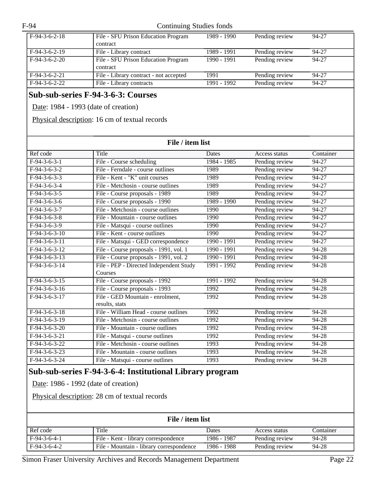| F-94<br>Continuing Studies fonds |                                                                    |               |                |                    |
|----------------------------------|--------------------------------------------------------------------|---------------|----------------|--------------------|
| $F-94-3-6-2-18$                  | File - SFU Prison Education Program<br>contract                    | 1989 - 1990   | Pending review | 94-27              |
| $F-94-3-6-2-19$                  | File - Library contract                                            | 1989 - 1991   | Pending review | $94 - 27$          |
| $F-94-3-6-2-20$                  | File - SFU Prison Education Program<br>contract                    | $1990 - 1991$ | Pending review | 94-27              |
| $F-94-3-6-2-21$                  | File - Library contract - not accepted                             | 1991          | Pending review | 94-27              |
| $F-94-3-6-2-22$                  | File - Library contracts                                           | $1991 - 1992$ | Pending review | 94-27              |
|                                  | Physical description: 16 cm of textual records<br>File / item list |               |                |                    |
| Ref code                         | Title                                                              | Dates         | Access status  | Container          |
| $F-94-3-6-3-1$                   | File - Course scheduling                                           | 1984 - 1985   | Pending review | 94-27              |
| $F-94-3-6-3-2$                   | File - Ferndale - course outlines                                  | 1989          | Pending review | 94-27              |
| $F-94-3-6-3-3$                   | File - Kent - "K" unit courses                                     | 1989          | Pending review | $94 - 27$          |
| $F-94-3-6-3-4$                   | File - Metchosin - course outlines                                 | 1989          | Pending review | 94-27              |
| $F-94-3-6-3-5$                   | File - Course proposals - 1989                                     | 1989          | Pending review | $\overline{94-27}$ |
| $F-94-3-6-3-6$                   | File - Course proposals - 1990                                     | 1989 - 1990   | Pending review | 94-27              |
| $F-94-3-6-3-7$                   | File - Metchosin - course outlines                                 | 1990          | Pending review | 94-27              |
| $F-94-3-6-3-8$                   | File - Mountain - course outlines                                  | 1990          | Pending review | 94-27              |
| $F-94-3-6-3-9$                   | File - Matsqui - course outlines                                   | 1990          | Pending review | 94-27              |
| $\overline{F-94-3-6-3} - 10$     | File - Kent - course outlines                                      | 1990          | Pending review | 94-27              |
| $F-94-3-6-3-11$                  | File - Matsqui - GED correspondence                                | $1990 - 1991$ | Pending review | 94-27              |
| $F-94-3-6-3-12$                  | File - Course proposals - 1991, vol. 1                             | $1990 - 1991$ | Pending review | $94 - 28$          |

| 1 - 74 - 7 - 0 - 7 - 1 4 | $\Gamma$ IIC - COUISC proposais - 1771, VOI. 1 | 1770 - 1771 | I clidling ICVICW | 74-40 |
|--------------------------|------------------------------------------------|-------------|-------------------|-------|
| $F-94-3-6-3-13$          | File - Course proposals - 1991, vol. 2         | 1990 - 1991 | Pending review    | 94-28 |
| $F-94-3-6-3-14$          | File - PEP - Directed Independent Study        | 1991 - 1992 | Pending review    | 94-28 |
|                          | Courses                                        |             |                   |       |
| $F-94-3-6-3-15$          | File - Course proposals - 1992                 | 1991 - 1992 | Pending review    | 94-28 |
| $F-94-3-6-3-16$          | File - Course proposals - 1993                 | 1992        | Pending review    | 94-28 |
| $F-94-3-6-3-17$          | File - GED Mountain - enrolment,               | 1992        | Pending review    | 94-28 |
|                          | results, stats                                 |             |                   |       |
| $F-94-3-6-3-18$          | File - William Head - course outlines          | 1992        | Pending review    | 94-28 |
| $F-94-3-6-3-19$          | File - Metchosin - course outlines             | 1992        | Pending review    | 94-28 |
| $F-94-3-6-3-20$          | File - Mountain - course outlines              | 1992        | Pending review    | 94-28 |
| $F-94-3-6-3-21$          | File - Matsqui - course outlines               | 1992        | Pending review    | 94-28 |
| $F-94-3-6-3-22$          | File - Metchosin - course outlines             | 1993        | Pending review    | 94-28 |
| $F-94-3-6-3-23$          | File - Mountain - course outlines              | 1993        | Pending review    | 94-28 |
| $F-94-3-6-3-24$          | File - Matsqui - course outlines               | 1993        | Pending review    | 94-28 |
|                          |                                                |             |                   |       |

# **Sub-sub-series F-94-3-6-4: Institutional Library program**

Date: 1986 - 1992 (date of creation)

Physical description: 28 cm of textual records

| File / item list |                                          |             |                |           |  |
|------------------|------------------------------------------|-------------|----------------|-----------|--|
| Ref code         | Title                                    | Dates       | Access status  | Container |  |
| $F-94-3-6-4-1$   | File - Kent - library correspondence     | 1986 - 1987 | Pending review | 94-28     |  |
| $F-94-3-6-4-2$   | File - Mountain - library correspondence | 1986 - 1988 | Pending review | 94-28     |  |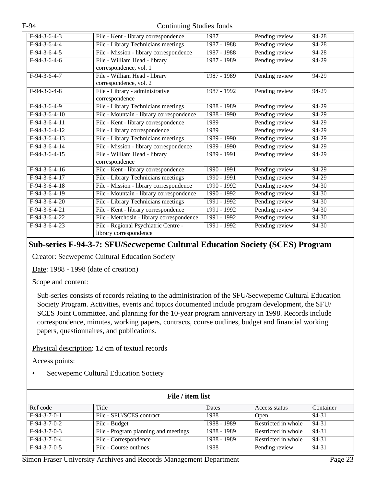| $F-94-3-6-4-3$  | File - Kent - library correspondence      | 1987          | Pending review | 94-28   |
|-----------------|-------------------------------------------|---------------|----------------|---------|
| $F-94-3-6-4-4$  | File - Library Technicians meetings       | 1987 - 1988   | Pending review | 94-28   |
| $F-94-3-6-4-5$  | File - Mission - library correspondence   | 1987 - 1988   | Pending review | 94-28   |
| $F-94-3-6-4-6$  | File - William Head - library             | 1987 - 1989   | Pending review | 94-29   |
|                 | correspondence, vol. 1                    |               |                |         |
| $F-94-3-6-4-7$  | File - William Head - library             | 1987 - 1989   | Pending review | 94-29   |
|                 | correspondence, vol. 2                    |               |                |         |
| $F-94-3-6-4-8$  | File - Library - administrative           | 1987 - 1992   | Pending review | 94-29   |
|                 | correspondence                            |               |                |         |
| $F-94-3-6-4-9$  | File - Library Technicians meetings       | 1988 - 1989   | Pending review | 94-29   |
| $F-94-3-6-4-10$ | File - Mountain - library correspondence  | $1988 - 1990$ | Pending review | 94-29   |
| $F-94-3-6-4-11$ | File - Kent - library correspondence      | 1989          | Pending review | 94-29   |
| $F-94-3-6-4-12$ | File - Library correspondence             | 1989          | Pending review | 94-29   |
| $F-94-3-6-4-13$ | File - Library Technicians meetings       | 1989 - 1990   | Pending review | 94-29   |
| $F-94-3-6-4-14$ | File - Mission - library correspondence   | 1989 - 1990   | Pending review | 94-29   |
| $F-94-3-6-4-15$ | File - William Head - library             | 1989 - 1991   | Pending review | 94-29   |
|                 | correspondence                            |               |                |         |
| $F-94-3-6-4-16$ | File - Kent - library correspondence      | 1990 - 1991   | Pending review | $94-29$ |
| $F-94-3-6-4-17$ | File - Library Technicians meetings       | 1990 - 1991   | Pending review | 94-29   |
| $F-94-3-6-4-18$ | File - Mission - library correspondence   | 1990 - 1992   | Pending review | 94-30   |
| $F-94-3-6-4-19$ | File - Mountain - library correspondence  | 1990 - 1992   | Pending review | $94-30$ |
| $F-94-3-6-4-20$ | File - Library Technicians meetings       | 1991 - 1992   | Pending review | 94-30   |
| $F-94-3-6-4-21$ | File - Kent - library correspondence      | 1991 - 1992   | Pending review | 94-30   |
| $F-94-3-6-4-22$ | File - Metchosin - library correspondence | 1991 - 1992   | Pending review | 94-30   |
| $F-94-3-6-4-23$ | File - Regional Psychiatric Centre -      | 1991 - 1992   | Pending review | 94-30   |
|                 | library correspondence                    |               |                |         |

### **Sub-series F-94-3-7: SFU/Secwepemc Cultural Education Society (SCES) Program**

Creator: Secwepemc Cultural Education Society

Date: 1988 - 1998 (date of creation)

Scope and content:

Sub-series consists of records relating to the administration of the SFU/Secwepemc Cultural Education Society Program. Activities, events and topics documented include program development, the SFU/ SCES Joint Committee, and planning for the 10-year program anniversary in 1998. Records include correspondence, minutes, working papers, contracts, course outlines, budget and financial working papers, questionnaires, and publications.

Physical description: 12 cm of textual records

Access points:

• Secwepemc Cultural Education Society

| File / item list |                                      |             |                     |           |  |
|------------------|--------------------------------------|-------------|---------------------|-----------|--|
| Ref code         | Title                                | Dates       | Access status       | Container |  |
| $F-94-3-7-0-1$   | File - SFU/SCES contract             | 1988        | <b>Open</b>         | 94-31     |  |
| $F-94-3-7-0-2$   | File - Budget                        | 1988 - 1989 | Restricted in whole | 94-31     |  |
| $F-94-3-7-0-3$   | File - Program planning and meetings | 1988 - 1989 | Restricted in whole | 94-31     |  |
| $F-94-3-7-0-4$   | File - Correspondence                | 1988 - 1989 | Restricted in whole | 94-31     |  |
| $F-94-3-7-0-5$   | File - Course outlines               | 1988        | Pending review      | 94-31     |  |

Simon Fraser University Archives and Records Management Department Page 23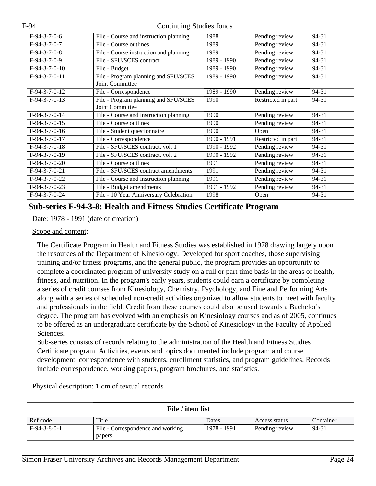| $F-94-3-7-0-6$              | File - Course and instruction planning | 1988        | Pending review     | 94-31 |
|-----------------------------|----------------------------------------|-------------|--------------------|-------|
| $F-94-3-7-0-7$              | File - Course outlines                 | 1989        | Pending review     | 94-31 |
| $F-94-3-7-0-8$              | File - Course instruction and planning | 1989        | Pending review     | 94-31 |
| $F-94-3-7-0-9$              | File - SFU/SCES contract               | 1989 - 1990 | Pending review     | 94-31 |
| $F-94-3-7-0-10$             | File - Budget                          | 1989 - 1990 | Pending review     | 94-31 |
| $F-94-3-7-0-11$             | File - Program planning and SFU/SCES   | 1989 - 1990 | Pending review     | 94-31 |
|                             | Joint Committee                        |             |                    |       |
| $F-94-3-7-0-12$             | File - Correspondence                  | 1989 - 1990 | Pending review     | 94-31 |
| $F-94-3-7-0-13$             | File - Program planning and SFU/SCES   | 1990        | Restricted in part | 94-31 |
|                             | Joint Committee                        |             |                    |       |
| F-94-3-7-0-14               | File - Course and instruction planning | 1990        | Pending review     | 94-31 |
| $F-94-3-7-0-15$             | File - Course outlines                 | 1990        | Pending review     | 94-31 |
| $\overline{F-9}$ 4-3-7-0-16 | File - Student questionnaire           | 1990        | Open               | 94-31 |
| $F-94-3-7-0-17$             | File - Correspondence                  | 1990 - 1991 | Restricted in part | 94-31 |
| $F-94-3-7-0-18$             | File - SFU/SCES contract, vol. 1       | 1990 - 1992 | Pending review     | 94-31 |
| F-94-3-7-0-19               | File - SFU/SCES contract, vol. 2       | 1990 - 1992 | Pending review     | 94-31 |
| $F-94-3-7-0-20$             | File - Course outlines                 | 1991        | Pending review     | 94-31 |
| $F-94-3-7-0-21$             | File - SFU/SCES contract amendments    | 1991        | Pending review     | 94-31 |
| $F-94-3-7-0-22$             | File - Course and instruction planning | 1991        | Pending review     | 94-31 |
| F-94-3-7-0-23               | File - Budget amendments               | 1991 - 1992 | Pending review     | 94-31 |
| $F-94-3-7-0-24$             | File - 10 Year Anniversary Celebration | 1998        | Open               | 94-31 |

#### **Sub-series F-94-3-8: Health and Fitness Studies Certificate Program**

Date: 1978 - 1991 (date of creation)

#### Scope and content:

The Certificate Program in Health and Fitness Studies was established in 1978 drawing largely upon the resources of the Department of Kinesiology. Developed for sport coaches, those supervising training and/or fitness programs, and the general public, the program provides an opportunity to complete a coordinated program of university study on a full or part time basis in the areas of health, fitness, and nutrition. In the program's early years, students could earn a certificate by completing a series of credit courses from Kinesiology, Chemistry, Psychology, and Fine and Performing Arts along with a series of scheduled non-credit activities organized to allow students to meet with faculty and professionals in the field. Credit from these courses could also be used towards a Bachelor's degree. The program has evolved with an emphasis on Kinesiology courses and as of 2005, continues to be offered as an undergraduate certificate by the School of Kinesiology in the Faculty of Applied Sciences.

Sub-series consists of records relating to the administration of the Health and Fitness Studies Certificate program. Activities, events and topics documented include program and course development, correspondence with students, enrollment statistics, and program guidelines. Records include correspondence, working papers, program brochures, and statistics.

| File / item list |                                   |             |                |           |  |
|------------------|-----------------------------------|-------------|----------------|-----------|--|
| Ref code         | Title                             | Dates       | Access status  | Container |  |
| $F-94-3-8-0-1$   | File - Correspondence and working | 1978 - 1991 | Pending review | 94-31     |  |
|                  | papers                            |             |                |           |  |

Physical description: 1 cm of textual records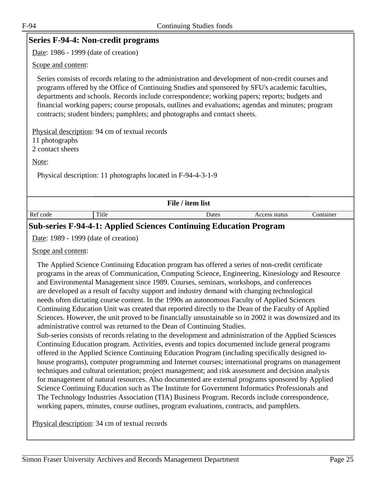<span id="page-24-0"></span>

|                                                                                                                                                                                                                                                                                                                                                                                                                                                                                             | Series F-94-4: Non-credit programs             |                                                                                                                                                                                                                                                                                                                                                                                                                                                                                                                                                                                                                                                                                                                                                                                                                                                                                                                               |               |           |  |
|---------------------------------------------------------------------------------------------------------------------------------------------------------------------------------------------------------------------------------------------------------------------------------------------------------------------------------------------------------------------------------------------------------------------------------------------------------------------------------------------|------------------------------------------------|-------------------------------------------------------------------------------------------------------------------------------------------------------------------------------------------------------------------------------------------------------------------------------------------------------------------------------------------------------------------------------------------------------------------------------------------------------------------------------------------------------------------------------------------------------------------------------------------------------------------------------------------------------------------------------------------------------------------------------------------------------------------------------------------------------------------------------------------------------------------------------------------------------------------------------|---------------|-----------|--|
| Date: 1986 - 1999 (date of creation)                                                                                                                                                                                                                                                                                                                                                                                                                                                        |                                                |                                                                                                                                                                                                                                                                                                                                                                                                                                                                                                                                                                                                                                                                                                                                                                                                                                                                                                                               |               |           |  |
| Scope and content:                                                                                                                                                                                                                                                                                                                                                                                                                                                                          |                                                |                                                                                                                                                                                                                                                                                                                                                                                                                                                                                                                                                                                                                                                                                                                                                                                                                                                                                                                               |               |           |  |
| Series consists of records relating to the administration and development of non-credit courses and<br>programs offered by the Office of Continuing Studies and sponsored by SFU's academic faculties,<br>departments and schools. Records include correspondence; working papers; reports; budgets and<br>financial working papers; course proposals, outlines and evaluations; agendas and minutes; program<br>contracts; student binders; pamphlets; and photographs and contact sheets. |                                                |                                                                                                                                                                                                                                                                                                                                                                                                                                                                                                                                                                                                                                                                                                                                                                                                                                                                                                                               |               |           |  |
|                                                                                                                                                                                                                                                                                                                                                                                                                                                                                             | Physical description: 94 cm of textual records |                                                                                                                                                                                                                                                                                                                                                                                                                                                                                                                                                                                                                                                                                                                                                                                                                                                                                                                               |               |           |  |
| 11 photographs                                                                                                                                                                                                                                                                                                                                                                                                                                                                              |                                                |                                                                                                                                                                                                                                                                                                                                                                                                                                                                                                                                                                                                                                                                                                                                                                                                                                                                                                                               |               |           |  |
| 2 contact sheets                                                                                                                                                                                                                                                                                                                                                                                                                                                                            |                                                |                                                                                                                                                                                                                                                                                                                                                                                                                                                                                                                                                                                                                                                                                                                                                                                                                                                                                                                               |               |           |  |
| Note:                                                                                                                                                                                                                                                                                                                                                                                                                                                                                       |                                                |                                                                                                                                                                                                                                                                                                                                                                                                                                                                                                                                                                                                                                                                                                                                                                                                                                                                                                                               |               |           |  |
|                                                                                                                                                                                                                                                                                                                                                                                                                                                                                             |                                                | Physical description: 11 photographs located in F-94-4-3-1-9                                                                                                                                                                                                                                                                                                                                                                                                                                                                                                                                                                                                                                                                                                                                                                                                                                                                  |               |           |  |
|                                                                                                                                                                                                                                                                                                                                                                                                                                                                                             |                                                | File / item list                                                                                                                                                                                                                                                                                                                                                                                                                                                                                                                                                                                                                                                                                                                                                                                                                                                                                                              |               |           |  |
| Ref code                                                                                                                                                                                                                                                                                                                                                                                                                                                                                    | Title                                          | Dates                                                                                                                                                                                                                                                                                                                                                                                                                                                                                                                                                                                                                                                                                                                                                                                                                                                                                                                         | Access status | Container |  |
|                                                                                                                                                                                                                                                                                                                                                                                                                                                                                             |                                                | <b>Sub-series F-94-4-1: Applied Sciences Continuing Education Program</b>                                                                                                                                                                                                                                                                                                                                                                                                                                                                                                                                                                                                                                                                                                                                                                                                                                                     |               |           |  |
|                                                                                                                                                                                                                                                                                                                                                                                                                                                                                             | Date: 1989 - 1999 (date of creation)           |                                                                                                                                                                                                                                                                                                                                                                                                                                                                                                                                                                                                                                                                                                                                                                                                                                                                                                                               |               |           |  |
| Scope and content:                                                                                                                                                                                                                                                                                                                                                                                                                                                                          |                                                |                                                                                                                                                                                                                                                                                                                                                                                                                                                                                                                                                                                                                                                                                                                                                                                                                                                                                                                               |               |           |  |
|                                                                                                                                                                                                                                                                                                                                                                                                                                                                                             |                                                | The Applied Science Continuing Education program has offered a series of non-credit certificate<br>programs in the areas of Communication, Computing Science, Engineering, Kinesiology and Resource<br>and Environmental Management since 1989. Courses, seminars, workshops, and conferences<br>are developed as a result of faculty support and industry demand with changing technological<br>needs often dictating course content. In the 1990s an autonomous Faculty of Applied Sciences<br>$\mathcal{L} = \mathbf{P} \mathbf{1} + \mathcal{L} = \mathbf{P} \mathbf{1} + \mathcal{L} = \mathbf{P} \mathbf{1} + \mathbf{P} \mathbf{1} + \mathbf{P} \mathbf{1} + \mathbf{P} \mathbf{1} + \mathbf{P} \mathbf{1} + \mathbf{P} \mathbf{1} + \mathbf{P} \mathbf{1} + \mathbf{P} \mathbf{1} + \mathbf{P} \mathbf{1} + \mathbf{P} \mathbf{1} + \mathbf{P} \mathbf{1} + \mathbf{P} \mathbf{1} + \mathbf{P} \mathbf{1} + \mathbf{$ |               |           |  |

Continuing Education Unit was created that reported directly to the Dean of the Faculty of Applied Sciences. However, the unit proved to be financially unsustainable so in 2002 it was downsized and its administrative control was returned to the Dean of Continuing Studies.

Sub-series consists of records relating to the development and administration of the Applied Sciences Continuing Education program. Activities, events and topics documented include general programs offered in the Applied Science Continuing Education Program (including specifically designed inhouse programs), computer programming and Internet courses; international programs on management techniques and cultural orientation; project management; and risk assessment and decision analysis for management of natural resources. Also documented are external programs sponsored by Applied Science Continuing Education such as The Institute for Government Informatics Professionals and The Technology Industries Association (TIA) Business Program. Records include correspondence, working papers, minutes, course outlines, program evaluations, contracts, and pamphlets.

Physical description: 34 cm of textual records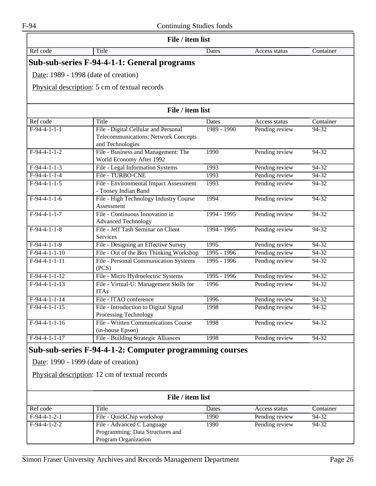|                 | File / item list                                                                                                                                  |               |                |           |
|-----------------|---------------------------------------------------------------------------------------------------------------------------------------------------|---------------|----------------|-----------|
| Ref code        | Title                                                                                                                                             | Dates         | Access status  | Container |
|                 | Sub-sub-series F-94-4-1-1: General programs                                                                                                       |               |                |           |
|                 | Date: 1989 - 1998 (date of creation)                                                                                                              |               |                |           |
|                 | Physical description: 5 cm of textual records                                                                                                     |               |                |           |
|                 |                                                                                                                                                   |               |                |           |
|                 | File / item list                                                                                                                                  |               |                |           |
| Ref code        | Title                                                                                                                                             | Dates         | Access status  | Container |
| $F-94-4-1-1-1$  | File - Digital Cellular and Personal<br><b>Telecommunications: Network Concepts</b><br>and Technologies                                           | 1989 - 1990   | Pending review | 94-32     |
| $F-94-4-1-1-2$  | File - Business and Management: The<br>World Economy After 1992                                                                                   | 1990          | Pending review | $94 - 32$ |
| $F-94-4-1-1-3$  | File - Legal Information Systems                                                                                                                  | 1993          | Pending review | 94-32     |
| $F-94-4-1-1-4$  | File - TURBO-CNE                                                                                                                                  | 1993          | Pending review | $94-32$   |
| $F-94-4-1-1-5$  | File - Environmental Impact Assessment<br>- Toosey Indian Band                                                                                    | 1993          | Pending review | 94-32     |
| $F-94-4-1-1-6$  | File - High Technology Industry Course<br>Assessment                                                                                              | 1994          | Pending review | 94-32     |
| $F-94-4-1-1-7$  | File - Continuous Innovation in<br><b>Advanced Technology</b>                                                                                     | 1994 - 1995   | Pending review | $94-32$   |
| $F-94-4-1-1-8$  | File - Jeff Tash Seminar on Client<br>Services                                                                                                    | 1994 - 1995   | Pending review | $94 - 32$ |
| $F-94-4-1-1-9$  | File - Designing an Effective Survey                                                                                                              | 1995          | Pending review | 94-32     |
| $F-94-4-1-1-10$ | File - Out of the Box Thinking Workshop                                                                                                           | 1995 - 1996   | Pending review | $94-32$   |
| $F-94-4-1-1-11$ | File - Personal Communication Systems<br>(PCS)                                                                                                    | $1995 - 1996$ | Pending review | 94-32     |
| $F-94-4-1-1-12$ | File - Micro Hydroelectric Systems                                                                                                                | 1995 - 1996   | Pending review | 94-32     |
| $F-94-4-1-1-13$ | File - Virtual-U: Management Skills for<br><b>ITAs</b>                                                                                            | 1996          | Pending review | $94-32$   |
| $F-94-4-1-1-14$ | File - ITAO conference                                                                                                                            | 1996          | Pending review | 94-32     |
| $F-94-4-1-1-15$ | File - Introduction to Digital Signal<br>Processing Technology                                                                                    | 1998          | Pending review | $94 - 32$ |
| $F-94-4-1-1-16$ | <b>File - Written Communications Course</b><br>(in-house Epson)                                                                                   | 1998          | Pending review | $94-32$   |
| $F-94-4-1-1-17$ | File - Building Strategic Alliances                                                                                                               | 1998          | Pending review | 94-32     |
|                 | Sub-sub-series F-94-4-1-2: Computer programming courses<br>Date: 1990 - 1999 (date of creation)<br>Physical description: 12 cm of textual records |               |                |           |
|                 | File / item list                                                                                                                                  |               |                |           |
| Ref code        | Title                                                                                                                                             | Dates         | Access status  | Container |
| $F-94-4-1-2-1$  | File - QuickChip workshop                                                                                                                         | 1990          | Pending review | 94-32     |
| $F-94-4-1-2-2$  | File - Advanced C Language<br>Programming: Data Structures and<br>Program Organization                                                            | 1990          | Pending review | 94-32     |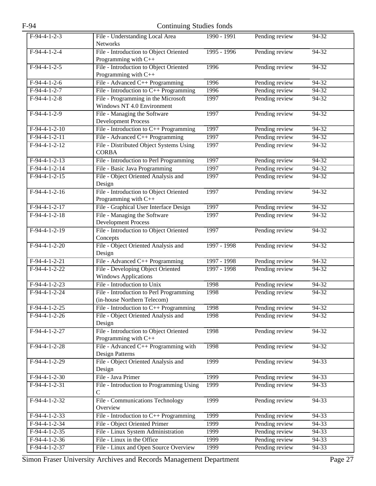| F-94            | Continuing Studies fonds                                               |             |                |           |
|-----------------|------------------------------------------------------------------------|-------------|----------------|-----------|
| $F-94-4-1-2-3$  | File - Understanding Local Area<br><b>Networks</b>                     | 1990 - 1991 | Pending review | 94-32     |
| $F-94-4-1-2-4$  | File - Introduction to Object Oriented<br>Programming with C++         | 1995 - 1996 | Pending review | $94-32$   |
| $F-94-4-1-2-5$  | File - Introduction to Object Oriented<br>Programming with C++         | 1996        | Pending review | $94 - 32$ |
| $F-94-4-1-2-6$  | File - Advanced C++ Programming                                        | 1996        | Pending review | 94-32     |
| $F-94-4-1-2-7$  | File - Introduction to $C++$ Programming                               | 1996        | Pending review | $94-32$   |
| $F-94-4-1-2-8$  | File - Programming in the Microsoft<br>Windows NT 4.0 Environment      | 1997        | Pending review | 94-32     |
| $F-94-4-1-2-9$  | File - Managing the Software<br><b>Development Process</b>             | 1997        | Pending review | 94-32     |
| $F-94-4-1-2-10$ | File - Introduction to $C_{++}$ Programming                            | 1997        | Pending review | $94-32$   |
| $F-94-4-1-2-11$ | File - Advanced C++ Programming                                        | 1997        | Pending review | $94 - 32$ |
| $F-94-4-1-2-12$ | File - Distributed Object Systems Using<br><b>CORBA</b>                | 1997        | Pending review | 94-32     |
| $F-94-4-1-2-13$ | File - Introduction to Perl Programming                                | 1997        | Pending review | $94-32$   |
| $F-94-4-1-2-14$ | File - Basic Java Programming                                          | 1997        | Pending review | 94-32     |
| $F-94-4-1-2-15$ | File - Object Oriented Analysis and<br>Design                          | 1997        | Pending review | 94-32     |
| $F-94-4-1-2-16$ | File - Introduction to Object Oriented<br>Programming with C++         | 1997        | Pending review | $94-32$   |
| $F-94-4-1-2-17$ | File - Graphical User Interface Design                                 | 1997        | Pending review | $94 - 32$ |
| $F-94-4-1-2-18$ | File - Managing the Software<br><b>Development Process</b>             | 1997        | Pending review | 94-32     |
| $F-94-4-1-2-19$ | File - Introduction to Object Oriented<br>Concepts                     | 1997        | Pending review | $94-32$   |
| $F-94-4-1-2-20$ | File - Object Oriented Analysis and<br>Design                          | 1997 - 1998 | Pending review | 94-32     |
| $F-94-4-1-2-21$ | File - Advanced C++ Programming                                        | 1997 - 1998 | Pending review | 94-32     |
| $F-94-4-1-2-22$ | File - Developing Object Oriented<br><b>Windows Applications</b>       | 1997 - 1998 | Pending review | $94-32$   |
| $F-94-4-1-2-23$ | File - Introduction to Unix                                            | 1998        | Pending review | $94 - 32$ |
| $F-94-4-1-2-24$ | File - Introduction to Perl Programming<br>(in-house Northern Telecom) | 1998        | Pending review | 94-32     |
| $F-94-4-1-2-25$ | File - Introduction to $C++$ Programming                               | 1998        | Pending review | $94-32$   |
| $F-94-4-1-2-26$ | File - Object Oriented Analysis and<br>Design                          | 1998        | Pending review | $94-32$   |
| F-94-4-1-2-27   | File - Introduction to Object Oriented<br>Programming with C++         | 1998        | Pending review | 94-32     |
| $F-94-4-1-2-28$ | File - Advanced $C_{++}$ Programming with<br><b>Design Patterns</b>    | 1998        | Pending review | $94-32$   |
| $F-94-4-1-2-29$ | File - Object Oriented Analysis and<br>Design                          | 1999        | Pending review | $94 - 33$ |
| $F-94-4-1-2-30$ | File - Java Primer                                                     | 1999        | Pending review | 94-33     |
| $F-94-4-1-2-31$ | File - Introduction to Programming Using<br>$\mathsf{C}$               | 1999        | Pending review | $94 - 33$ |
| F-94-4-1-2-32   | File - Communications Technology<br>Overview                           | 1999        | Pending review | 94-33     |
| $F-94-4-1-2-33$ | File - Introduction to $C++$ Programming                               | 1999        | Pending review | 94-33     |
| $F-94-4-1-2-34$ | File - Object Oriented Primer                                          | 1999        | Pending review | 94-33     |
| $F-94-4-1-2-35$ | File - Linux System Administration                                     | 1999        | Pending review | $94 - 33$ |
| $F-94-4-1-2-36$ | File - Linux in the Office                                             | 1999        | Pending review | 94-33     |
| $F-94-4-1-2-37$ | File - Linux and Open Source Overview                                  | 1999        | Pending review | $94-33$   |

Simon Fraser University Archives and Records Management Department Page 27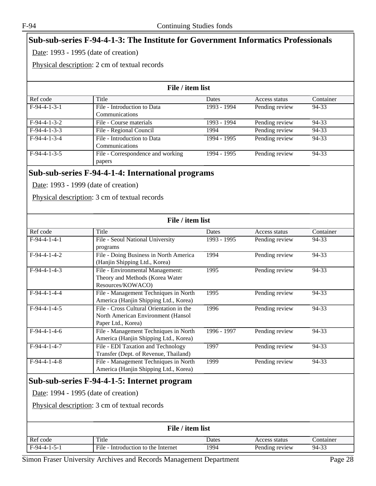# **Sub-sub-series F-94-4-1-3: The Institute for Government Informatics Professionals**

Date: 1993 - 1995 (date of creation)

Physical description: 2 cm of textual records

| File / item list |                                   |             |                |           |
|------------------|-----------------------------------|-------------|----------------|-----------|
| Ref code         | Title                             | Dates       | Access status  | Container |
| $F-94-4-1-3-1$   | File - Introduction to Data       | 1993 - 1994 | Pending review | 94-33     |
|                  | Communications                    |             |                |           |
| $F-94-4-1-3-2$   | File - Course materials           | 1993 - 1994 | Pending review | 94-33     |
| $F-94-4-1-3-3$   | File - Regional Council           | 1994        | Pending review | 94-33     |
| $F-94-4-1-3-4$   | File - Introduction to Data       | 1994 - 1995 | Pending review | 94-33     |
|                  | Communications                    |             |                |           |
| $F-94-4-1-3-5$   | File - Correspondence and working | 1994 - 1995 | Pending review | 94-33     |
|                  | papers                            |             |                |           |
|                  |                                   |             |                |           |

#### **Sub-sub-series F-94-4-1-4: International programs**

Date: 1993 - 1999 (date of creation)

Physical description: 3 cm of textual records

| File / item list |                                                                                                                                      |               |                |           |
|------------------|--------------------------------------------------------------------------------------------------------------------------------------|---------------|----------------|-----------|
| Ref code         | Title                                                                                                                                | <b>Dates</b>  | Access status  | Container |
| $F-94-4-1-4-1$   | File - Seoul National University<br>programs                                                                                         | $1993 - 1995$ | Pending review | $94-33$   |
| $F-94-4-1-4-2$   | File - Doing Business in North America<br>(Hanjin Shipping Ltd., Korea)                                                              | 1994          | Pending review | $94 - 33$ |
| $F-94-4-1-4-3$   | File - Environmental Management:<br>Theory and Methods (Korea Water<br>Resources/KOWACO)                                             | 1995          | Pending review | 94-33     |
| $F-94-4-1-4-4$   | File - Management Techniques in North<br>America (Hanjin Shipping Ltd., Korea)                                                       | 1995          | Pending review | 94-33     |
| $F-94-4-1-4-5$   | File - Cross Cultural Orientation in the<br>North American Environment (Hansol<br>Paper Ltd., Korea)                                 | 1996          | Pending review | $94 - 33$ |
| $F-94-4-1-4-6$   | File - Management Techniques in North<br>America (Hanjin Shipping Ltd., Korea)                                                       | 1996 - 1997   | Pending review | 94-33     |
| $F-94-4-1-4-7$   | File - EDI Taxation and Technology<br>Transfer (Dept. of Revenue, Thailand)                                                          | 1997          | Pending review | $94 - 33$ |
| $F-94-4-1-4-8$   | File - Management Techniques in North<br>America (Hanjin Shipping Ltd., Korea)                                                       | 1999          | Pending review | $94 - 33$ |
|                  | Sub-sub-series F-94-4-1-5: Internet program<br>Date: 1994 - 1995 (date of creation)<br>Physical description: 3 cm of textual records |               |                |           |
|                  | File / item list                                                                                                                     |               |                |           |
| Ref code         | Title                                                                                                                                | Dates         | Access status  | Container |
| $F-94-4-1-5-1$   | File - Introduction to the Internet                                                                                                  | 1994          | Pending review | 94-33     |

Simon Fraser University Archives and Records Management Department Page 28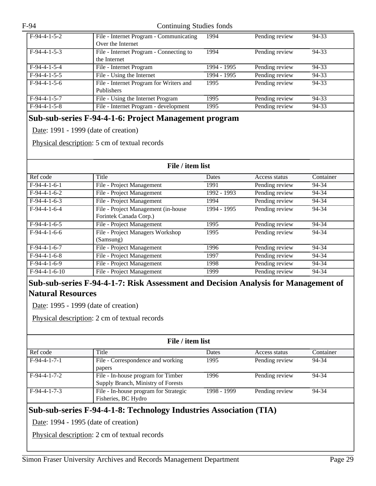| $F-94-4-1-5-2$ | File - Internet Program - Communicating | 1994        | Pending review | 94-33 |
|----------------|-----------------------------------------|-------------|----------------|-------|
|                | Over the Internet                       |             |                |       |
| $F-94-4-1-5-3$ | File - Internet Program - Connecting to | 1994        | Pending review | 94-33 |
|                | the Internet                            |             |                |       |
| $F-94-4-1-5-4$ | File - Internet Program                 | 1994 - 1995 | Pending review | 94-33 |
| $F-94-4-1-5-5$ | File - Using the Internet               | 1994 - 1995 | Pending review | 94-33 |
| $F-94-4-1-5-6$ | File - Internet Program for Writers and | 1995        | Pending review | 94-33 |
|                | <b>Publishers</b>                       |             |                |       |
| $F-94-4-1-5-7$ | File - Using the Internet Program       | 1995        | Pending review | 94-33 |
| $F-94-4-1-5-8$ | File - Internet Program - development   | 1995        | Pending review | 94-33 |

#### **Sub-sub-series F-94-4-1-6: Project Management program**

Date: 1991 - 1999 (date of creation)

Physical description: 5 cm of textual records

| File / item list |                                     |             |                |           |
|------------------|-------------------------------------|-------------|----------------|-----------|
| Ref code         | Title                               | Dates       | Access status  | Container |
| $F-94-4-1-6-1$   | File - Project Management           | 1991        | Pending review | 94-34     |
| $F-94-4-1-6-2$   | File - Project Management           | 1992 - 1993 | Pending review | 94-34     |
| $F-94-4-1-6-3$   | File - Project Management           | 1994        | Pending review | 94-34     |
| $F-94-4-1-6-4$   | File - Project Management (in-house | 1994 - 1995 | Pending review | 94-34     |
|                  | Forintek Canada Corp.)              |             |                |           |
| $F-94-4-1-6-5$   | File - Project Management           | 1995        | Pending review | 94-34     |
| $F-94-4-1-6-6$   | File - Project Managers Workshop    | 1995        | Pending review | 94-34     |
|                  | (Samsung)                           |             |                |           |
| $F-94-4-1-6-7$   | File - Project Management           | 1996        | Pending review | 94-34     |
| $F-94-4-1-6-8$   | File - Project Management           | 1997        | Pending review | 94-34     |
| $F-94-4-1-6-9$   | File - Project Management           | 1998        | Pending review | 94-34     |
| $F-94-4-1-6-10$  | File - Project Management           | 1999        | Pending review | 94-34     |

#### **Sub-sub-series F-94-4-1-7: Risk Assessment and Decision Analysis for Management of Natural Resources**

Date: 1995 - 1999 (date of creation)

Physical description: 2 cm of textual records

| File / item list |                                                                          |             |                |           |  |
|------------------|--------------------------------------------------------------------------|-------------|----------------|-----------|--|
| Ref code         | Title                                                                    | Dates       | Access status  | Container |  |
| $F-94-4-1-7-1$   | File - Correspondence and working<br>papers                              | 1995        | Pending review | 94-34     |  |
| $F-94-4-1-7-2$   | File - In-house program for Timber<br>Supply Branch, Ministry of Forests | 1996        | Pending review | 94-34     |  |
| $F-94-4-1-7-3$   | File - In-house program for Strategic<br>Fisheries, BC Hydro             | 1998 - 1999 | Pending review | 94-34     |  |

#### **Sub-sub-series F-94-4-1-8: Technology Industries Association (TIA)**

Date: 1994 - 1995 (date of creation)

Physical description: 2 cm of textual records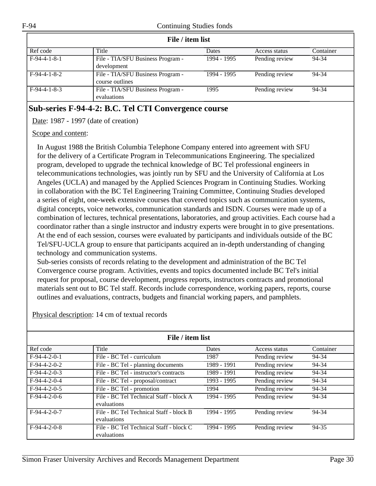| File / item list |                                   |              |                |           |  |
|------------------|-----------------------------------|--------------|----------------|-----------|--|
| Ref code         | Title                             | <b>Dates</b> | Access status  | Container |  |
| $F-94-4-1-8-1$   | File - TIA/SFU Business Program - | 1994 - 1995  | Pending review | 94-34     |  |
|                  | development                       |              |                |           |  |
| $F-94-4-1-8-2$   | File - TIA/SFU Business Program - | 1994 - 1995  | Pending review | 94-34     |  |
|                  | course outlines                   |              |                |           |  |
| $F-94-4-1-8-3$   | File - TIA/SFU Business Program - | 1995         | Pending review | 94-34     |  |
|                  | evaluations                       |              |                |           |  |

#### **Sub-series F-94-4-2: B.C. Tel CTI Convergence course**

Date: 1987 - 1997 (date of creation)

#### Scope and content:

In August 1988 the British Columbia Telephone Company entered into agreement with SFU for the delivery of a Certificate Program in Telecommunications Engineering. The specialized program, developed to upgrade the technical knowledge of BC Tel professional engineers in telecommunications technologies, was jointly run by SFU and the University of California at Los Angeles (UCLA) and managed by the Applied Sciences Program in Continuing Studies. Working in collaboration with the BC Tel Engineering Training Committee, Continuing Studies developed a series of eight, one-week extensive courses that covered topics such as communication systems, digital concepts, voice networks, communication standards and ISDN. Courses were made up of a combination of lectures, technical presentations, laboratories, and group activities. Each course had a coordinator rather than a single instructor and industry experts were brought in to give presentations. At the end of each session, courses were evaluated by participants and individuals outside of the BC Tel/SFU-UCLA group to ensure that participants acquired an in-depth understanding of changing technology and communication systems.

Sub-series consists of records relating to the development and administration of the BC Tel Convergence course program. Activities, events and topics documented include BC Tel's initial request for proposal, course development, progress reports, instructors contracts and promotional materials sent out to BC Tel staff. Records include correspondence, working papers, reports, course outlines and evaluations, contracts, budgets and financial working papers, and pamphlets.

| File / item list |                                                        |              |                |           |
|------------------|--------------------------------------------------------|--------------|----------------|-----------|
| Ref code         | Title                                                  | <b>Dates</b> | Access status  | Container |
| $F-94-4-2-0-1$   | File - BC Tel - curriculum                             | 1987         | Pending review | 94-34     |
| $F-94-4-2-0-2$   | File - BC Tel - planning documents                     | 1989 - 1991  | Pending review | 94-34     |
| $F-94-4-2-0-3$   | File - BC Tel - instructor's contracts                 | 1989 - 1991  | Pending review | 94-34     |
| $F-94-4-2-0-4$   | File - BC Tel - proposal/contract                      | 1993 - 1995  | Pending review | 94-34     |
| $F-94-4-2-0-5$   | File - BC Tel - promotion                              | 1994         | Pending review | 94-34     |
| $F-94-4-2-0-6$   | File - BC Tel Technical Staff - block A<br>evaluations | 1994 - 1995  | Pending review | 94-34     |
| $F-94-4-2-0-7$   | File - BC Tel Technical Staff - block B<br>evaluations | 1994 - 1995  | Pending review | 94-34     |
| $F-94-4-2-0-8$   | File - BC Tel Technical Staff - block C<br>evaluations | 1994 - 1995  | Pending review | 94-35     |

Physical description: 14 cm of textual records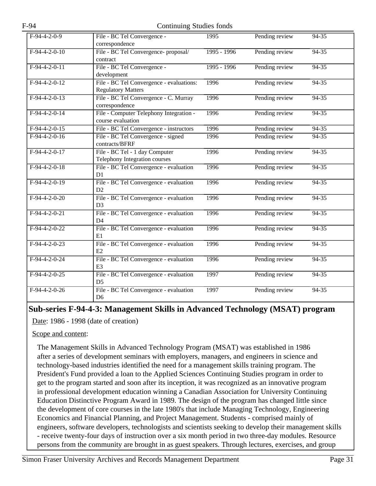| $F-94-4-2-0-9$  | File - BC Tel Convergence -              | 1995        | Pending review | $94 - 35$ |
|-----------------|------------------------------------------|-------------|----------------|-----------|
|                 | correspondence                           |             |                |           |
| $F-94-4-2-0-10$ | File - BC Tel Convergence- proposal/     | 1995 - 1996 | Pending review | $94 - 35$ |
|                 | contract                                 |             |                |           |
| $F-94-4-2-0-11$ |                                          |             |                |           |
|                 | File - BC Tel Convergence -              | 1995 - 1996 | Pending review | $94 - 35$ |
|                 | development                              |             |                |           |
| $F-94-4-2-0-12$ | File - BC Tel Convergence - evaluations: | 1996        | Pending review | $94 - 35$ |
|                 | <b>Regulatory Matters</b>                |             |                |           |
| $F-94-4-2-0-13$ | File - BC Tel Convergence - C. Murray    | 1996        | Pending review | $94-35$   |
|                 | correspondence                           |             |                |           |
| $F-94-4-2-0-14$ | File - Computer Telephony Integration -  | 1996        | Pending review | $94-35$   |
|                 | course evaluation                        |             |                |           |
| $F-94-4-2-0-15$ |                                          | 1996        |                | 94-35     |
|                 | File - BC Tel Convergence - instructors  |             | Pending review |           |
| $F-94-4-2-0-16$ | File - BC Tel Convergence - signed       | 1996        | Pending review | $94 - 35$ |
|                 | contracts/BFRF                           |             |                |           |
| $F-94-4-2-0-17$ | File - BC Tel - 1 day Computer           | 1996        | Pending review | $94 - 35$ |
|                 | Telephony Integration courses            |             |                |           |
| $F-94-4-2-0-18$ | File - BC Tel Convergence - evaluation   | 1996        | Pending review | $94-35$   |
|                 | D <sub>1</sub>                           |             |                |           |
| $F-94-4-2-0-19$ | File - BC Tel Convergence - evaluation   | 1996        | Pending review | $94 - 35$ |
|                 | D2                                       |             |                |           |
| $F-94-4-2-0-20$ | File - BC Tel Convergence - evaluation   | 1996        | Pending review | $94-35$   |
|                 | D <sub>3</sub>                           |             |                |           |
|                 |                                          |             |                |           |
| $F-94-4-2-0-21$ | File - BC Tel Convergence - evaluation   | 1996        | Pending review | $94-35$   |
|                 | D <sub>4</sub>                           |             |                |           |
| $F-94-4-2-0-22$ | File - BC Tel Convergence - evaluation   | 1996        | Pending review | $94 - 35$ |
|                 | E1                                       |             |                |           |
| $F-94-4-2-0-23$ | File - BC Tel Convergence - evaluation   | 1996        | Pending review | $94-35$   |
|                 | E2                                       |             |                |           |
| $F-94-4-2-0-24$ | File - BC Tel Convergence - evaluation   | 1996        | Pending review | $94 - 35$ |
|                 | E <sub>3</sub>                           |             |                |           |
|                 |                                          |             |                |           |
| $F-94-4-2-0-25$ | File - BC Tel Convergence - evaluation   | 1997        | Pending review | $94 - 35$ |
|                 | D <sub>5</sub>                           |             |                |           |
| $F-94-4-2-0-26$ | File - BC Tel Convergence - evaluation   | 1997        | Pending review | $94 - 35$ |
|                 | D <sub>6</sub>                           |             |                |           |

#### **Sub-series F-94-4-3: Management Skills in Advanced Technology (MSAT) program**

Date: 1986 - 1998 (date of creation)

Scope and content:

The Management Skills in Advanced Technology Program (MSAT) was established in 1986 after a series of development seminars with employers, managers, and engineers in science and technology-based industries identified the need for a management skills training program. The President's Fund provided a loan to the Applied Sciences Continuing Studies program in order to get to the program started and soon after its inception, it was recognized as an innovative program in professional development education winning a Canadian Association for University Continuing Education Distinctive Program Award in 1989. The design of the program has changed little since the development of core courses in the late 1980's that include Managing Technology, Engineering Economics and Financial Planning, and Project Management. Students - comprised mainly of engineers, software developers, technologists and scientists seeking to develop their management skills - receive twenty-four days of instruction over a six month period in two three-day modules. Resource persons from the community are brought in as guest speakers. Through lectures, exercises, and group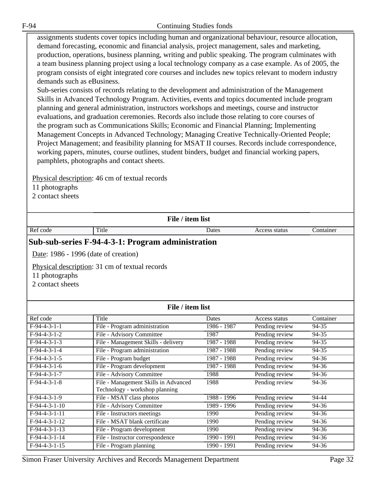assignments students cover topics including human and organizational behaviour, resource allocation, demand forecasting, economic and financial analysis, project management, sales and marketing, production, operations, business planning, writing and public speaking. The program culminates with a team business planning project using a local technology company as a case example. As of 2005, the program consists of eight integrated core courses and includes new topics relevant to modern industry demands such as eBusiness.

Sub-series consists of records relating to the development and administration of the Management Skills in Advanced Technology Program. Activities, events and topics documented include program planning and general administration, instructors workshops and meetings, course and instructor evaluations, and graduation ceremonies. Records also include those relating to core courses of the program such as Communications Skills; Economic and Financial Planning; Implementing Management Concepts in Advanced Technology; Managing Creative Technically-Oriented People; Project Management; and feasibility planning for MSAT II courses. Records include correspondence, working papers, minutes, course outlines, student binders, budget and financial working papers, pamphlets, photographs and contact sheets.

Physical description: 46 cm of textual records

11 photographs

2 contact sheets

#### **File / item list**

Ref code Title Ref Container Ref Container Access status Container

#### **Sub-sub-series F-94-4-3-1: Program administration**

Date: 1986 - 1996 (date of creation)

Physical description: 31 cm of textual records

11 photographs

2 contact sheets

| File / item list |                                      |             |                |           |
|------------------|--------------------------------------|-------------|----------------|-----------|
| Ref code         | Title                                | Dates       | Access status  | Container |
| $F-94-4-3-1-1$   | File - Program administration        | 1986 - 1987 | Pending review | 94-35     |
| $F-94-4-3-1-2$   | File - Advisory Committee            | 1987        | Pending review | 94-35     |
| $F-94-4-3-1-3$   | File - Management Skills - delivery  | 1987 - 1988 | Pending review | 94-35     |
| $F-94-4-3-1-4$   | File - Program administration        | 1987 - 1988 | Pending review | 94-35     |
| $F-94-4-3-1-5$   | File - Program budget                | 1987 - 1988 | Pending review | 94-36     |
| $F-94-4-3-1-6$   | File - Program development           | 1987 - 1988 | Pending review | 94-36     |
| $F-94-4-3-1-7$   | File - Advisory Committee            | 1988        | Pending review | 94-36     |
| $F-94-4-3-1-8$   | File - Management Skills in Advanced | 1988        | Pending review | 94-36     |
|                  | Technology - workshop planning       |             |                |           |
| $F-94-4-3-1-9$   | File - MSAT class photos             | 1988 - 1996 | Pending review | 94-44     |
| $F-94-4-3-1-10$  | File - Advisory Committee            | 1989 - 1996 | Pending review | 94-36     |
| $F-94-4-3-1-11$  | File - Instructors meetings          | 1990        | Pending review | 94-36     |
| $F-94-4-3-1-12$  | File - MSAT blank certificate        | 1990        | Pending review | 94-36     |
| $F-94-4-3-1-13$  | File - Program development           | 1990        | Pending review | 94-36     |
| $F-94-4-3-1-14$  | File - Instructor correspondence     | 1990 - 1991 | Pending review | 94-36     |
| $F-94-4-3-1-15$  | File - Program planning              | 1990 - 1991 | Pending review | 94-36     |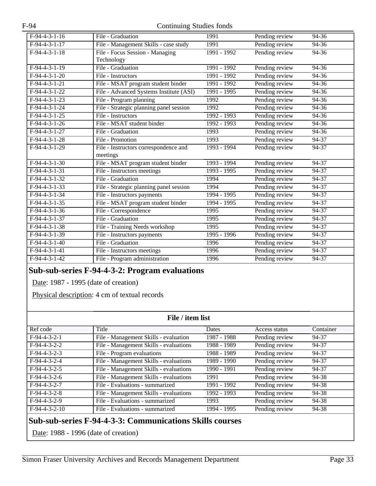| $F-94-4-3-1-16$ | File - Graduation                       | 1991          | Pending review | $94 - 36$ |
|-----------------|-----------------------------------------|---------------|----------------|-----------|
| $F-94-4-3-1-17$ | File - Management Skills - case study   | 1991          | Pending review | 94-36     |
| $F-94-4-3-1-18$ | File - Focus Session - Managing         | 1991 - 1992   | Pending review | $94 - 36$ |
|                 | Technology                              |               |                |           |
| $F-94-4-3-1-19$ | File - Graduation                       | $1991 - 1992$ | Pending review | $94 - 36$ |
| $F-94-4-3-1-20$ | File - Instructors                      | 1991 - 1992   | Pending review | $94 - 36$ |
| $F-94-4-3-1-21$ | File - MSAT program student binder      | $1991 - 1992$ | Pending review | $94 - 36$ |
| $F-94-4-3-1-22$ | File - Advanced Systems Institute (ASI) | 1991 - 1995   | Pending review | 94-36     |
| $F-94-4-3-1-23$ | File - Program planning                 | 1992          | Pending review | $94 - 36$ |
| $F-94-4-3-1-24$ | File - Strategic planning panel session | 1992          | Pending review | $94 - 36$ |
| $F-94-4-3-1-25$ | File - Instructors                      | 1992 - 1993   | Pending review | 94-36     |
| $F-94-4-3-1-26$ | File - MSAT student binder              | 1992 - 1993   | Pending review | $94 - 36$ |
| $F-94-4-3-1-27$ | File - Graduation                       | 1993          | Pending review | $94 - 36$ |
| $F-94-4-3-1-28$ | File - Promotion                        | 1993          | Pending review | $94 - 37$ |
| $F-94-4-3-1-29$ | File - Instructors correspondence and   | 1993 - 1994   | Pending review | 94-37     |
|                 | meetings                                |               |                |           |
| $F-94-4-3-1-30$ | File - MSAT program student binder      | 1993 - 1994   | Pending review | $94 - 37$ |
| $F-94-4-3-1-31$ | File - Instructors meetings             | 1993 - 1995   | Pending review | 94-37     |
| $F-94-4-3-1-32$ | File - Graduation                       | 1994          | Pending review | 94-37     |
| $F-94-4-3-1-33$ | File - Strategic planning panel session | 1994          | Pending review | $94 - 37$ |
| $F-94-4-3-1-34$ | File - Instructors payments             | 1994 - 1995   | Pending review | 94-37     |
| $F-94-4-3-1-35$ | File - MSAT program student binder      | $1994 - 1995$ | Pending review | 94-37     |
| $F-94-4-3-1-36$ | File - Correspondence                   | 1995          | Pending review | $94 - 37$ |
| $F-94-4-3-1-37$ | File - Graduation                       | 1995          | Pending review | 94-37     |
| $F-94-4-3-1-38$ | File - Training Needs workshop          | 1995          | Pending review | $94 - 37$ |
| $F-94-4-3-1-39$ | File - Instructors payments             | $1995 - 1996$ | Pending review | $94 - 37$ |
| $F-94-4-3-1-40$ | File - Graduation                       | 1996          | Pending review | 94-37     |
| $F-94-4-3-1-41$ | File - Instructors meetings             | 1996          | Pending review | $94-37$   |
| $F-94-4-3-1-42$ | File - Program administration           | 1996          | Pending review | $94 - 37$ |
|                 |                                         |               |                |           |

#### **Sub-sub-series F-94-4-3-2: Program evaluations**

Date: 1987 - 1995 (date of creation)

Physical description: 4 cm of textual records

| File / item list |                                        |               |                |           |
|------------------|----------------------------------------|---------------|----------------|-----------|
| Ref code         | Title                                  | Dates         | Access status  | Container |
| $F-94-4-3-2-1$   | File - Management Skills - evaluation  | 1987 - 1988   | Pending review | 94-37     |
| $F-94-4-3-2-2$   | File - Management Skills - evaluations | 1988 - 1989   | Pending review | 94-37     |
| $F-94-4-3-2-3$   | File - Program evaluations             | 1988 - 1989   | Pending review | 94-37     |
| $F-94-4-3-2-4$   | File - Management Skills - evaluations | 1989 - 1990   | Pending review | 94-37     |
| $F-94-4-3-2-5$   | File - Management Skills - evaluations | $1990 - 1991$ | Pending review | 94-37     |
| $F-94-4-3-2-6$   | File - Management Skills - evaluations | 1991          | Pending review | 94-38     |
| $F-94-4-3-2-7$   | File - Evaluations - summarized        | 1991 - 1992   | Pending review | 94-38     |
| $F-94-4-3-2-8$   | File - Management Skills - evaluations | 1992 - 1993   | Pending review | 94-38     |
| $F-94-4-3-2-9$   | File - Evaluations - summarized        | 1993          | Pending review | 94-38     |
| $F-94-4-3-2-10$  | File - Evaluations - summarized        | 1994 - 1995   | Pending review | 94-38     |

#### **Sub-sub-series F-94-4-3-3: Communications Skills courses**

Date: 1988 - 1996 (date of creation)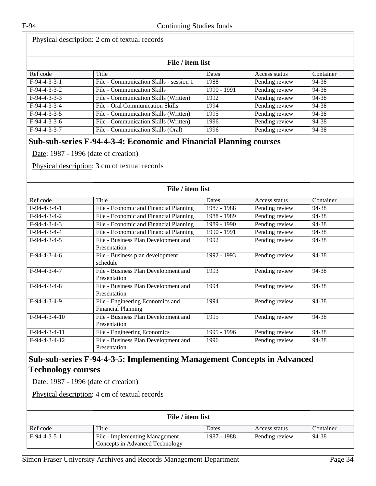#### Physical description: 2 cm of textual records

| File / item list |                                         |             |                |           |
|------------------|-----------------------------------------|-------------|----------------|-----------|
| Ref code         | Title                                   | Dates       | Access status  | Container |
| $F-94-4-3-3-1$   | File - Communication Skills - session 1 | 1988        | Pending review | 94-38     |
| $F-94-4-3-3-2$   | File - Communication Skills             | 1990 - 1991 | Pending review | 94-38     |
| $F-94-4-3-3-3$   | File - Communication Skills (Written)   | 1992        | Pending review | 94-38     |
| $F-94-4-3-3-4$   | File - Oral Communication Skills        | 1994        | Pending review | 94-38     |
| $F-94-4-3-3-5$   | File - Communication Skills (Written)   | 1995        | Pending review | 94-38     |
| $F-94-4-3-3-6$   | File - Communication Skills (Written)   | 1996        | Pending review | 94-38     |
| $F-94-4-3-3-7$   | File - Communication Skills (Oral)      | 1996        | Pending review | 94-38     |

#### **Sub-sub-series F-94-4-3-4: Economic and Financial Planning courses**

Date: 1987 - 1996 (date of creation)

Physical description: 3 cm of textual records

| File / item list |                                                               |             |                |           |
|------------------|---------------------------------------------------------------|-------------|----------------|-----------|
| Ref code         | Title                                                         | Dates       | Access status  | Container |
| $F-94-4-3-4-1$   | File - Economic and Financial Planning                        | 1987 - 1988 | Pending review | 94-38     |
| $F-94-4-3-4-2$   | File - Economic and Financial Planning                        | 1988 - 1989 | Pending review | 94-38     |
| $F-94-4-3-4-3$   | File - Economic and Financial Planning                        | 1989 - 1990 | Pending review | 94-38     |
| $F-94-4-3-4-4$   | File - Economic and Financial Planning                        | 1990 - 1991 | Pending review | 94-38     |
| $F-94-4-3-4-5$   | File - Business Plan Development and<br>Presentation          | 1992        | Pending review | 94-38     |
| $F-94-4-3-4-6$   | File - Business plan development<br>schedule                  | 1992 - 1993 | Pending review | 94-38     |
| $F-94-4-3-4-7$   | File - Business Plan Development and<br>Presentation          | 1993        | Pending review | 94-38     |
| $F-94-4-3-4-8$   | File - Business Plan Development and<br>Presentation          | 1994        | Pending review | 94-38     |
| F-94-4-3-4-9     | File - Engineering Economics and<br><b>Financial Planning</b> | 1994        | Pending review | 94-38     |
| $F-94-4-3-4-10$  | File - Business Plan Development and<br>Presentation          | 1995        | Pending review | 94-38     |
| $F-94-4-3-4-11$  | File - Engineering Economics                                  | 1995 - 1996 | Pending review | 94-38     |
| $F-94-4-3-4-12$  | File - Business Plan Development and<br>Presentation          | 1996        | Pending review | 94-38     |

#### **Sub-sub-series F-94-4-3-5: Implementing Management Concepts in Advanced Technology courses**

Date: 1987 - 1996 (date of creation)

Physical description: 4 cm of textual records

|                | File / item list                                                  |             |                |           |
|----------------|-------------------------------------------------------------------|-------------|----------------|-----------|
| Ref code       | Title                                                             | Dates       | Access status  | Container |
| $F-94-4-3-5-1$ | File - Implementing Management<br>Concepts in Advanced Technology | 1987 - 1988 | Pending review | 94-38     |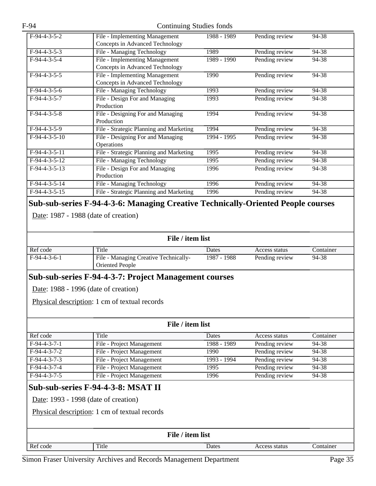| $F-94-4-3-5-2$  | File - Implementing Management                                                   | 1988 - 1989 | Pending review | 94-38 |
|-----------------|----------------------------------------------------------------------------------|-------------|----------------|-------|
|                 | Concepts in Advanced Technology                                                  |             |                |       |
| $F-94-4-3-5-3$  | File - Managing Technology                                                       | 1989        | Pending review | 94-38 |
| $F-94-4-3-5-4$  | File - Implementing Management                                                   | 1989 - 1990 | Pending review | 94-38 |
|                 | Concepts in Advanced Technology                                                  |             |                |       |
| $F-94-4-3-5-5$  | File - Implementing Management                                                   | 1990        | Pending review | 94-38 |
|                 | Concepts in Advanced Technology                                                  |             |                |       |
| $F-94-4-3-5-6$  | File - Managing Technology                                                       | 1993        | Pending review | 94-38 |
| $F-94-4-3-5-7$  | File - Design For and Managing                                                   | 1993        | Pending review | 94-38 |
|                 | Production                                                                       |             |                |       |
| $F-94-4-3-5-8$  | File - Designing For and Managing                                                | 1994        | Pending review | 94-38 |
|                 | Production                                                                       |             |                |       |
| $F-94-4-3-5-9$  | File - Strategic Planning and Marketing                                          | 1994        | Pending review | 94-38 |
| $F-94-4-3-5-10$ | File - Designing For and Managing                                                | 1994 - 1995 | Pending review | 94-38 |
|                 | <b>Operations</b>                                                                |             |                |       |
| $F-94-4-3-5-11$ | File - Strategic Planning and Marketing                                          | 1995        | Pending review | 94-38 |
| $F-94-4-3-5-12$ | File - Managing Technology                                                       | 1995        | Pending review | 94-38 |
| $F-94-4-3-5-13$ | File - Design For and Managing                                                   | 1996        | Pending review | 94-38 |
|                 | Production                                                                       |             |                |       |
| $F-94-4-3-5-14$ | File - Managing Technology                                                       | 1996        | Pending review | 94-38 |
| $F-94-4-3-5-15$ | File - Strategic Planning and Marketing                                          | 1996        | Pending review | 94-38 |
|                 |                                                                                  |             |                |       |
|                 | Sub-sub-series F-94-4-3-6: Managing Creative Technically-Oriented People courses |             |                |       |

Date: 1987 - 1988 (date of creation)

| File / item list |  |  |
|------------------|--|--|
|                  |  |  |

| Ref code       | Title                                                           | Dates       | Access status  | Container |
|----------------|-----------------------------------------------------------------|-------------|----------------|-----------|
| $F-94-4-3-6-1$ | File - Managing Creative Technically-<br><b>Oriented People</b> | 1987 - 1988 | Pending review | 94-38     |

#### **Sub-sub-series F-94-4-3-7: Project Management courses**

Date: 1988 - 1996 (date of creation)

Physical description: 1 cm of textual records

|                | File / item list          |             |                |           |
|----------------|---------------------------|-------------|----------------|-----------|
| Ref code       | Title                     | Dates       | Access status  | Container |
| $F-94-4-3-7-1$ | File - Project Management | 1988 - 1989 | Pending review | 94-38     |
| $F-94-4-3-7-2$ | File - Project Management | 1990        | Pending review | 94-38     |
| $F-94-4-3-7-3$ | File - Project Management | 1993 - 1994 | Pending review | 94-38     |
| $F-94-4-3-7-4$ | File - Project Management | 1995        | Pending review | 94-38     |
| $F-94-4-3-7-5$ | File - Project Management | 1996        | Pending review | 94-38     |
|                |                           |             |                |           |

# **Sub-sub-series F-94-4-3-8: MSAT II**

Date: 1993 - 1998 (date of creation)

Physical description: 1 cm of textual records

|          |       | File / item list |               |           |
|----------|-------|------------------|---------------|-----------|
| Ref code | Title | Dates            | Access status | Container |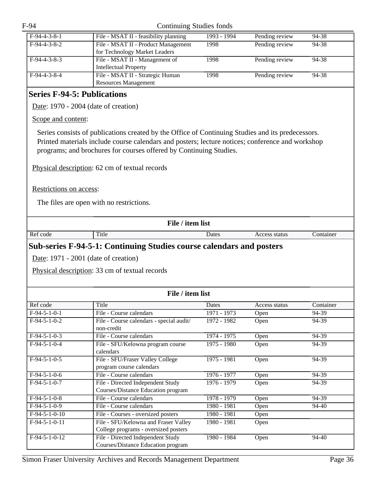| $F-94-4-3-8-1$ | File - MSAT II - feasibility planning | 1993 - 1994 | Pending review | 94-38 |
|----------------|---------------------------------------|-------------|----------------|-------|
| $F-94-4-3-8-2$ | File - MSAT II - Product Management   | 1998        | Pending review | 94-38 |
|                | for Technology Market Leaders         |             |                |       |
| $F-94-4-3-8-3$ | File - MSAT II - Management of        | 1998        | Pending review | 94-38 |
|                | <b>Intellectual Property</b>          |             |                |       |
| $F-94-4-3-8-4$ | File - MSAT II - Strategic Human      | 1998        | Pending review | 94-38 |
|                | <b>Resources Management</b>           |             |                |       |

# <span id="page-35-0"></span>**Series F-94-5: Publications**

Date: 1970 - 2004 (date of creation)

Scope and content:

Series consists of publications created by the Office of Continuing Studies and its predecessors. Printed materials include course calendars and posters; lecture notices; conference and workshop programs; and brochures for courses offered by Continuing Studies.

Physical description: 62 cm of textual records

Restrictions on access:

The files are open with no restrictions.

| File / item list |                                                                              |               |               |           |  |
|------------------|------------------------------------------------------------------------------|---------------|---------------|-----------|--|
| Ref code         | Title                                                                        | Dates         | Access status | Container |  |
|                  | <b>Sub-series F-94-5-1: Continuing Studies course calendars and posters</b>  |               |               |           |  |
|                  | Date: $1971 - 2001$ (date of creation)                                       |               |               |           |  |
|                  | Physical description: 33 cm of textual records                               |               |               |           |  |
|                  |                                                                              |               |               |           |  |
|                  | File / item list                                                             |               |               |           |  |
| Ref code         | Title                                                                        | Dates         | Access status | Container |  |
| $F-94-5-1-0-1$   | File - Course calendars                                                      | $1971 - 1973$ | Open          | 94-39     |  |
| $F-94-5-1-0-2$   | File - Course calendars - special audit/<br>non-credit                       | 1972 - 1982   | Open          | $94-39$   |  |
| $F-94-5-1-0-3$   | File - Course calendars                                                      | $1974 - 1975$ | Open          | 94-39     |  |
| $F-94-5-1-0-4$   | File - SFU/Kelowna program course<br>calendars                               | $1975 - 1980$ | Open          | 94-39     |  |
| $F-94-5-1-0-5$   | File - SFU/Fraser Valley College<br>program course calendars                 | $1975 - 1981$ | Open          | $94-39$   |  |
| $F-94-5-1-0-6$   | File - Course calendars                                                      | 1976 - 1977   | Open          | 94-39     |  |
| $F-94-5-1-0-7$   | File - Directed Independent Study<br>Courses/Distance Education program      | 1976 - 1979   | Open          | 94-39     |  |
| $F-94-5-1-0-8$   | File - Course calendars                                                      | 1978 - 1979   | Open          | $94-39$   |  |
| $F-94-5-1-0-9$   | File - Course calendars                                                      | $1980 - 1981$ | Open          | 94-40     |  |
| $F-94-5-1-0-10$  | File - Courses - oversized posters                                           | $1980 - 1981$ | Open          |           |  |
| $F-94-5-1-0-11$  | File - SFU/Kelowna and Fraser Valley<br>College programs - oversized posters | $1980 - 1981$ | Open          |           |  |
| $F-94-5-1-0-12$  | File - Directed Independent Study<br>Courses/Distance Education program      | 1980 - 1984   | Open          | 94-40     |  |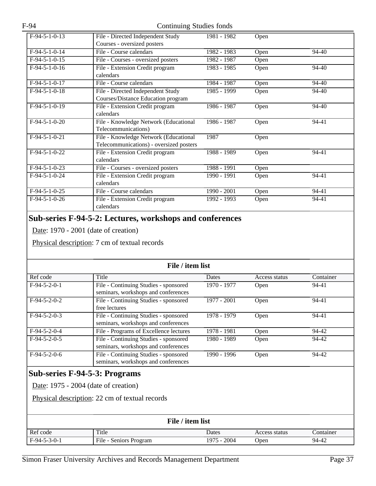| $F-94-5-1-0-13$ | File - Directed Independent Study       | 1981 - 1982   | Open |           |
|-----------------|-----------------------------------------|---------------|------|-----------|
|                 | Courses - oversized posters             |               |      |           |
| $F-94-5-1-0-14$ | File - Course calendars                 | 1982 - 1983   | Open | 94-40     |
| $F-94-5-1-0-15$ | File - Courses - oversized posters      | 1982 - 1987   | Open |           |
| $F-94-5-1-0-16$ | File - Extension Credit program         | 1983 - 1985   | Open | 94-40     |
|                 | calendars                               |               |      |           |
| $F-94-5-1-0-17$ | File - Course calendars                 | 1984 - 1987   | Open | 94-40     |
| $F-94-5-1-0-18$ | File - Directed Independent Study       | 1985 - 1999   | Open | 94-40     |
|                 | Courses/Distance Education program      |               |      |           |
| $F-94-5-1-0-19$ | File - Extension Credit program         | 1986 - 1987   | Open | $94 - 40$ |
|                 | calendars                               |               |      |           |
| $F-94-5-1-0-20$ | File - Knowledge Network (Educational   | $1986 - 1987$ | Open | 94-41     |
|                 | Telecommunications)                     |               |      |           |
| $F-94-5-1-0-21$ | File - Knowledge Network (Educational   | 1987          | Open |           |
|                 | Telecommunications) - oversized posters |               |      |           |
| $F-94-5-1-0-22$ | File - Extension Credit program         | 1988 - 1989   | Open | 94-41     |
|                 | calendars                               |               |      |           |
| $F-94-5-1-0-23$ | File - Courses - oversized posters      | 1988 - 1991   | Open |           |
| $F-94-5-1-0-24$ | File - Extension Credit program         | 1990 - 1991   | Open | 94-41     |
|                 | calendars                               |               |      |           |
| $F-94-5-1-0-25$ | File - Course calendars                 | 1990 - 2001   | Open | 94-41     |
| $F-94-5-1-0-26$ | File - Extension Credit program         | 1992 - 1993   | Open | 94-41     |
|                 | calendars                               |               |      |           |

#### **Sub-series F-94-5-2: Lectures, workshops and conferences**

Date: 1970 - 2001 (date of creation)

Physical description: 7 cm of textual records

| File / item list |                                                                              |              |               |           |  |
|------------------|------------------------------------------------------------------------------|--------------|---------------|-----------|--|
| Ref code         | Title                                                                        | <b>Dates</b> | Access status | Container |  |
| $F-94-5-2-0-1$   | File - Continuing Studies - sponsored<br>seminars, workshops and conferences | 1970 - 1977  | Open          | 94-41     |  |
| $F-94-5-2-0-2$   | File - Continuing Studies - sponsored<br>free lectures                       | 1977 - 2001  | Open          | $94 - 41$ |  |
| $F-94-5-2-0-3$   | File - Continuing Studies - sponsored<br>seminars, workshops and conferences | 1978 - 1979  | Open          | 94-41     |  |
| $F-94-5-2-0-4$   | File - Programs of Excellence lectures                                       | 1978 - 1981  | Open          | 94-42     |  |
| $F-94-5-2-0-5$   | File - Continuing Studies - sponsored<br>seminars, workshops and conferences | 1980 - 1989  | Open          | 94-42     |  |
| $F-94-5-2-0-6$   | File - Continuing Studies - sponsored<br>seminars, workshops and conferences | 1990 - 1996  | Open          | 94-42     |  |

#### **Sub-series F-94-5-3: Programs**

Date: 1975 - 2004 (date of creation)

Physical description: 22 cm of textual records

| File / item list |                        |             |               |           |  |
|------------------|------------------------|-------------|---------------|-----------|--|
| Ref code         | Title                  | Dates       | Access status | Container |  |
| $F-94-5-3-0-1$   | File - Seniors Program | 1975 - 2004 | Open          | 94-42     |  |